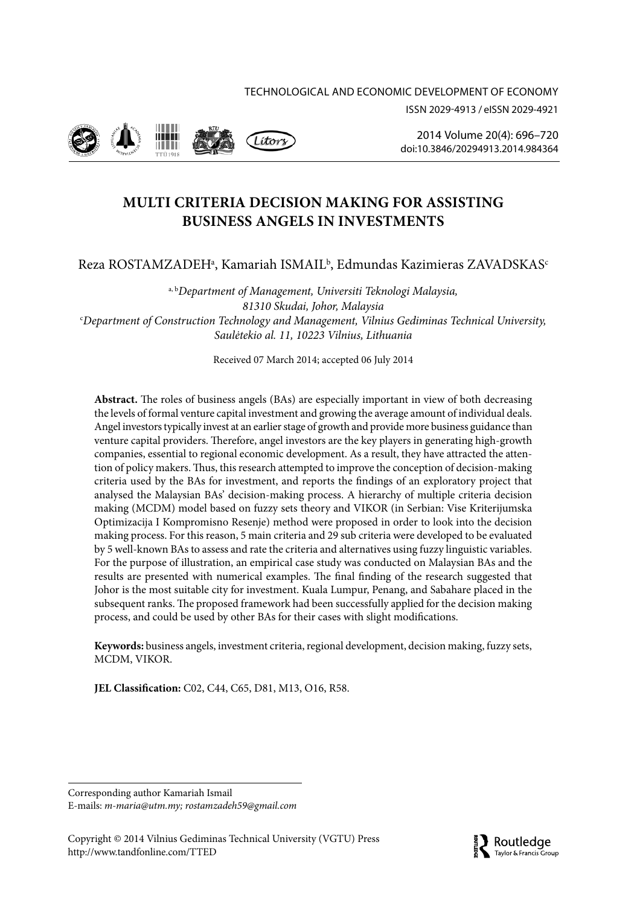ISSN 2029-4913 / eISSN 2029-4921



2014 Volume 20(4): 696–720 [doi:10.3846/20294913.2014.984364](http://dx.doi.org/10.3846/20294913.2014.984364)

# **MULTI CRITERIA DECISION MAKING FOR ASSISTING BUSINESS ANGELS IN INVESTMENTS**

Reza ROSTAMZADEHª, Kamariah ISMAIL<sup>ь</sup>, Edmundas Kazimieras ZAVADSKAS<sup>.</sup>

a, b*Department of Management, Universiti Teknologi Malaysia, 81310 Skudai, Johor, Malaysia* c *Department of Construction Technology and Management, Vilnius Gediminas Technical University, Saulėtekio al. 11, 10223 Vilnius, Lithuania*

Received 07 March 2014; accepted 06 July 2014

**Abstract.** The roles of business angels (BAs) are especially important in view of both decreasing the levels of formal venture capital investment and growing the average amount of individual deals. Angel investors typically invest at an earlier stage of growth and provide more business guidance than venture capital providers. Therefore, angel investors are the key players in generating high-growth companies, essential to regional economic development. As a result, they have attracted the attention of policy makers. Thus, this research attempted to improve the conception of decision-making criteria used by the BAs for investment, and reports the findings of an exploratory project that analysed the Malaysian BAs' decision-making process. A hierarchy of multiple criteria decision making (MCDM) model based on fuzzy sets theory and VIKOR (in Serbian: Vise Kriterijumska Optimizacija I Kompromisno Resenje) method were proposed in order to look into the decision making process. For this reason, 5 main criteria and 29 sub criteria were developed to be evaluated by 5 well-known BAs to assess and rate the criteria and alternatives using fuzzy linguistic variables. For the purpose of illustration, an empirical case study was conducted on Malaysian BAs and the results are presented with numerical examples. The final finding of the research suggested that Johor is the most suitable city for investment. Kuala Lumpur, Penang, and Sabahare placed in the subsequent ranks. The proposed framework had been successfully applied for the decision making process, and could be used by other BAs for their cases with slight modifications.

**Keywords:** business angels, investment criteria, regional development, decision making, fuzzy sets, MCDM, VIKOR.

**JEL Classification:** C02, C44, C65, D81, M13, O16, R58.

Corresponding author Kamariah Ismail E-mails: *m-maria@utm.my; rostamzadeh59@gmail.com*

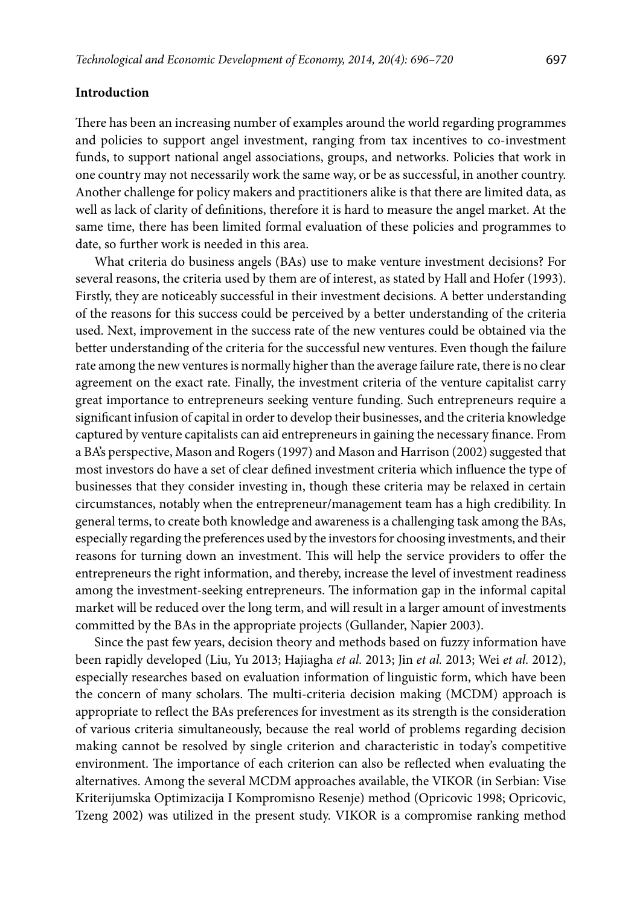#### **Introduction**

There has been an increasing number of examples around the world regarding programmes and policies to support angel investment, ranging from tax incentives to co-investment funds, to support national angel associations, groups, and networks. Policies that work in one country may not necessarily work the same way, or be as successful, in another country. Another challenge for policy makers and practitioners alike is that there are limited data, as well as lack of clarity of definitions, therefore it is hard to measure the angel market. At the same time, there has been limited formal evaluation of these policies and programmes to date, so further work is needed in this area.

What criteria do business angels (BAs) use to make venture investment decisions? For several reasons, the criteria used by them are of interest, as stated by Hall and Hofer (1993). Firstly, they are noticeably successful in their investment decisions. A better understanding of the reasons for this success could be perceived by a better understanding of the criteria used. Next, improvement in the success rate of the new ventures could be obtained via the better understanding of the criteria for the successful new ventures. Even though the failure rate among the new ventures is normally higher than the average failure rate, there is no clear agreement on the exact rate. Finally, the investment criteria of the venture capitalist carry great importance to entrepreneurs seeking venture funding. Such entrepreneurs require a significant infusion of capital in order to develop their businesses, and the criteria knowledge captured by venture capitalists can aid entrepreneurs in gaining the necessary finance. From a BA's perspective, Mason and Rogers (1997) and Mason and Harrison (2002) suggested that most investors do have a set of clear defined investment criteria which influence the type of businesses that they consider investing in, though these criteria may be relaxed in certain circumstances, notably when the entrepreneur/management team has a high credibility. In general terms, to create both knowledge and awareness is a challenging task among the BAs, especially regarding the preferences used by the investors for choosing investments, and their reasons for turning down an investment. This will help the service providers to offer the entrepreneurs the right information, and thereby, increase the level of investment readiness among the investment-seeking entrepreneurs. The information gap in the informal capital market will be reduced over the long term, and will result in a larger amount of investments committed by the BAs in the appropriate projects (Gullander, Napier 2003).

Since the past few years, decision theory and methods based on fuzzy information have been rapidly developed (Liu, Yu 2013; Hajiagha *et al.* 2013; Jin *et al.* 2013; Wei *et al.* 2012), especially researches based on evaluation information of linguistic form, which have been the concern of many scholars. The multi-criteria decision making (MCDM) approach is appropriate to reflect the BAs preferences for investment as its strength is the consideration of various criteria simultaneously, because the real world of problems regarding decision making cannot be resolved by single criterion and characteristic in today's competitive environment. The importance of each criterion can also be reflected when evaluating the alternatives. Among the several MCDM approaches available, the VIKOR (in Serbian: Vise Kriterijumska Optimizacija I Kompromisno Resenje) method (Opricovic 1998; Opricovic, Tzeng 2002) was utilized in the present study. VIKOR is a compromise ranking method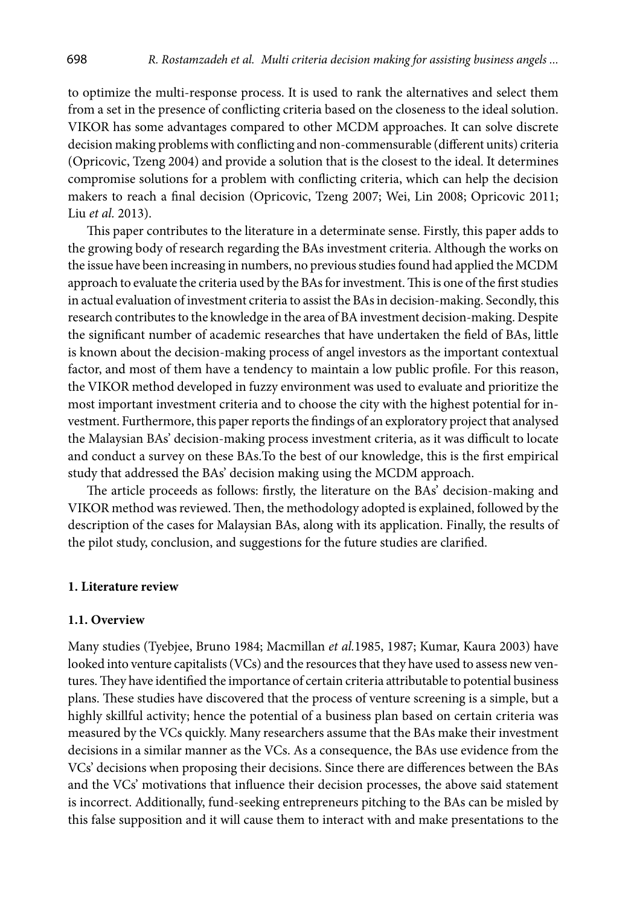to optimize the multi-response process. It is used to rank the alternatives and select them from a set in the presence of conflicting criteria based on the closeness to the ideal solution. VIKOR has some advantages compared to other MCDM approaches. It can solve discrete decision making problems with conflicting and non-commensurable (different units) criteria (Opricovic, Tzeng 2004) and provide a solution that is the closest to the ideal. It determines compromise solutions for a problem with conflicting criteria, which can help the decision makers to reach a final decision (Opricovic, Tzeng 2007; Wei, Lin 2008; Opricovic 2011; Liu *et al.* 2013).

This paper contributes to the literature in a determinate sense. Firstly, this paper adds to the growing body of research regarding the BAs investment criteria. Although the works on the issue have been increasing in numbers, no previous studies found had applied the MCDM approach to evaluate the criteria used by the BAs for investment. This is one of the first studies in actual evaluation of investment criteria to assist the BAs in decision-making. Secondly, this research contributes to the knowledge in the area of BA investment decision-making. Despite the significant number of academic researches that have undertaken the field of BAs, little is known about the decision-making process of angel investors as the important contextual factor, and most of them have a tendency to maintain a low public profile. For this reason, the VIKOR method developed in fuzzy environment was used to evaluate and prioritize the most important investment criteria and to choose the city with the highest potential for investment. Furthermore, this paper reports the findings of an exploratory project that analysed the Malaysian BAs' decision-making process investment criteria, as it was difficult to locate and conduct a survey on these BAs.To the best of our knowledge, this is the first empirical study that addressed the BAs' decision making using the MCDM approach.

The article proceeds as follows: firstly, the literature on the BAs' decision-making and VIKOR method was reviewed. Then, the methodology adopted is explained, followed by the description of the cases for Malaysian BAs, along with its application. Finally, the results of the pilot study, conclusion, and suggestions for the future studies are clarified.

#### **1. Literature review**

#### **1.1. Overview**

Many studies (Tyebjee, Bruno 1984; Macmillan *et al.*1985, 1987; Kumar, Kaura 2003) have looked into venture capitalists (VCs) and the resources that they have used to assess new ventures. They have identified the importance of certain criteria attributable to potential business plans. These studies have discovered that the process of venture screening is a simple, but a highly skillful activity; hence the potential of a business plan based on certain criteria was measured by the VCs quickly. Many researchers assume that the BAs make their investment decisions in a similar manner as the VCs. As a consequence, the BAs use evidence from the VCs' decisions when proposing their decisions. Since there are differences between the BAs and the VCs' motivations that influence their decision processes, the above said statement is incorrect. Additionally, fund-seeking entrepreneurs pitching to the BAs can be misled by this false supposition and it will cause them to interact with and make presentations to the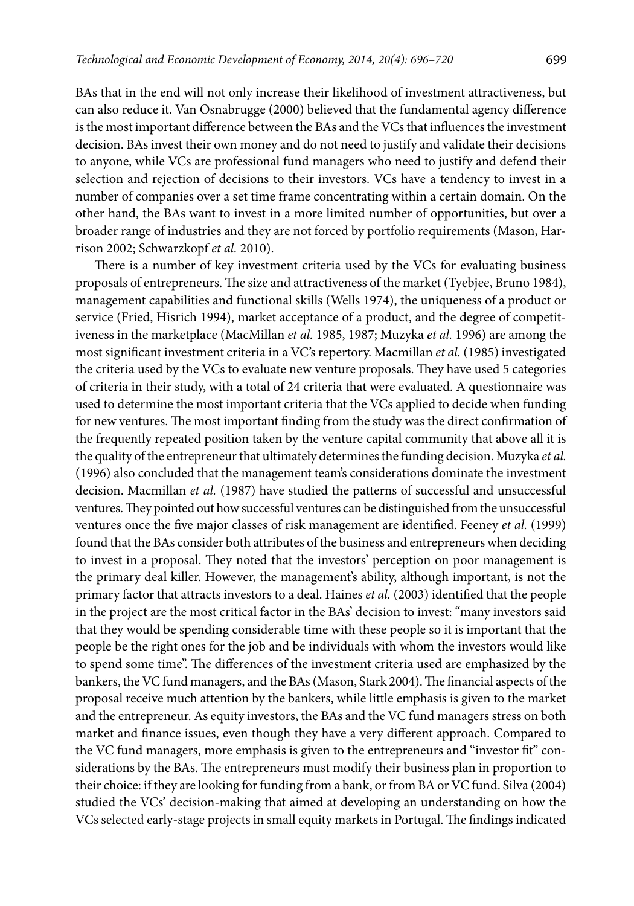BAs that in the end will not only increase their likelihood of investment attractiveness, but can also reduce it. Van Osnabrugge (2000) believed that the fundamental agency difference is the most important difference between the BAs and the VCs that influences the investment decision. BAs invest their own money and do not need to justify and validate their decisions to anyone, while VCs are professional fund managers who need to justify and defend their selection and rejection of decisions to their investors. VCs have a tendency to invest in a number of companies over a set time frame concentrating within a certain domain. On the other hand, the BAs want to invest in a more limited number of opportunities, but over a broader range of industries and they are not forced by portfolio requirements (Mason, Harrison 2002; Schwarzkopf *et al.* 2010).

There is a number of key investment criteria used by the VCs for evaluating business proposals of entrepreneurs. The size and attractiveness of the market (Tyebjee, Bruno 1984), management capabilities and functional skills (Wells 1974), the uniqueness of a product or service (Fried, Hisrich 1994), market acceptance of a product, and the degree of competitiveness in the marketplace (MacMillan *et al.* 1985, 1987; Muzyka *et al.* 1996) are among the most significant investment criteria in a VC's repertory. Macmillan *et al.* (1985) investigated the criteria used by the VCs to evaluate new venture proposals. They have used 5 categories of criteria in their study, with a total of 24 criteria that were evaluated. A questionnaire was used to determine the most important criteria that the VCs applied to decide when funding for new ventures. The most important finding from the study was the direct confirmation of the frequently repeated position taken by the venture capital community that above all it is the quality of the entrepreneur that ultimately determines the funding decision. Muzyka *et al.* (1996) also concluded that the management team's considerations dominate the investment decision. Macmillan *et al.* (1987) have studied the patterns of successful and unsuccessful ventures. They pointed out how successful ventures can be distinguished from the unsuccessful ventures once the five major classes of risk management are identified. Feeney *et al.* (1999) found that the BAs consider both attributes of the business and entrepreneurs when deciding to invest in a proposal. They noted that the investors' perception on poor management is the primary deal killer. However, the management's ability, although important, is not the primary factor that attracts investors to a deal. Haines *et al.* (2003) identified that the people in the project are the most critical factor in the BAs' decision to invest: "many investors said that they would be spending considerable time with these people so it is important that the people be the right ones for the job and be individuals with whom the investors would like to spend some time". The differences of the investment criteria used are emphasized by the bankers, the VC fund managers, and the BAs (Mason, Stark 2004). The financial aspects of the proposal receive much attention by the bankers, while little emphasis is given to the market and the entrepreneur. As equity investors, the BAs and the VC fund managers stress on both market and finance issues, even though they have a very different approach. Compared to the VC fund managers, more emphasis is given to the entrepreneurs and "investor fit" considerations by the BAs. The entrepreneurs must modify their business plan in proportion to their choice: if they are looking for funding from a bank, or from BA or VC fund. Silva (2004) studied the VCs' decision-making that aimed at developing an understanding on how the VCs selected early-stage projects in small equity markets in Portugal. The findings indicated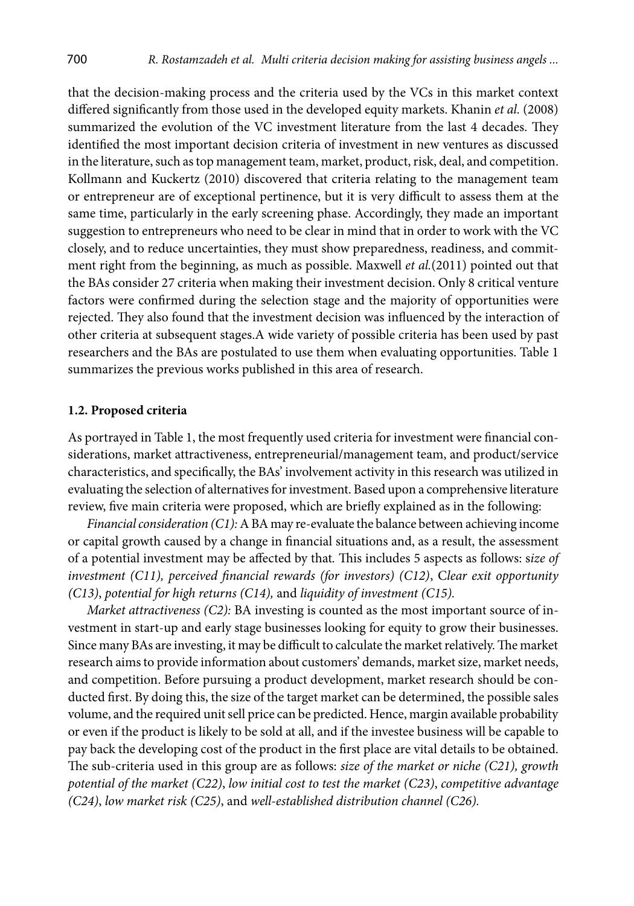that the decision-making process and the criteria used by the VCs in this market context differed significantly from those used in the developed equity markets. Khanin *et al.* (2008) summarized the evolution of the VC investment literature from the last 4 decades. They identified the most important decision criteria of investment in new ventures as discussed in the literature, such as top management team, market, product, risk, deal, and competition. Kollmann and Kuckertz (2010) discovered that criteria relating to the management team or entrepreneur are of exceptional pertinence, but it is very difficult to assess them at the same time, particularly in the early screening phase. Accordingly, they made an important suggestion to entrepreneurs who need to be clear in mind that in order to work with the VC closely, and to reduce uncertainties, they must show preparedness, readiness, and commitment right from the beginning, as much as possible. Maxwell *et al.*(2011) pointed out that the BAs consider 27 criteria when making their investment decision. Only 8 critical venture factors were confirmed during the selection stage and the majority of opportunities were rejected. They also found that the investment decision was influenced by the interaction of other criteria at subsequent stages.A wide variety of possible criteria has been used by past researchers and the BAs are postulated to use them when evaluating opportunities. Table 1 summarizes the previous works published in this area of research.

#### **1.2. Proposed criteria**

As portrayed in Table 1, the most frequently used criteria for investment were financial considerations, market attractiveness, entrepreneurial/management team, and product/service characteristics, and specifically, the BAs' involvement activity in this research was utilized in evaluating the selection of alternatives for investment. Based upon a comprehensive literature review, five main criteria were proposed, which are briefly explained as in the following:

*Financial consideration (C1):* A BA may re-evaluate the balance between achieving income or capital growth caused by a change in financial situations and, as a result, the assessment of a potential investment may be affected by that*.* This includes 5 aspects as follows: s*ize of investment (C11), perceived financial rewards (for investors) (C12)*, C*lear exit opportunity (C13)*, *potential for high returns (C14),* and *liquidity of investment (C15).*

*Market attractiveness (C2):* BA investing is counted as the most important source of investment in start-up and early stage businesses looking for equity to grow their businesses. Since many BAs are investing, it may be difficult to calculate the market relatively. The market research aims to provide information about customers' demands, market size, market needs, and competition. Before pursuing a product development, market research should be conducted first. By doing this, the size of the target market can be determined, the possible sales volume, and the required unit sell price can be predicted. Hence, margin available probability or even if the product is likely to be sold at all, and if the investee business will be capable to pay back the developing cost of the product in the first place are vital details to be obtained. The sub-criteria used in this group are as follows: *size of the market or niche (C21), growth potential of the market (C22)*, *low initial cost to test the market (C23)*, *competitive advantage (C24)*, *low market risk (C25)*, and *well-established distribution channel (C26).*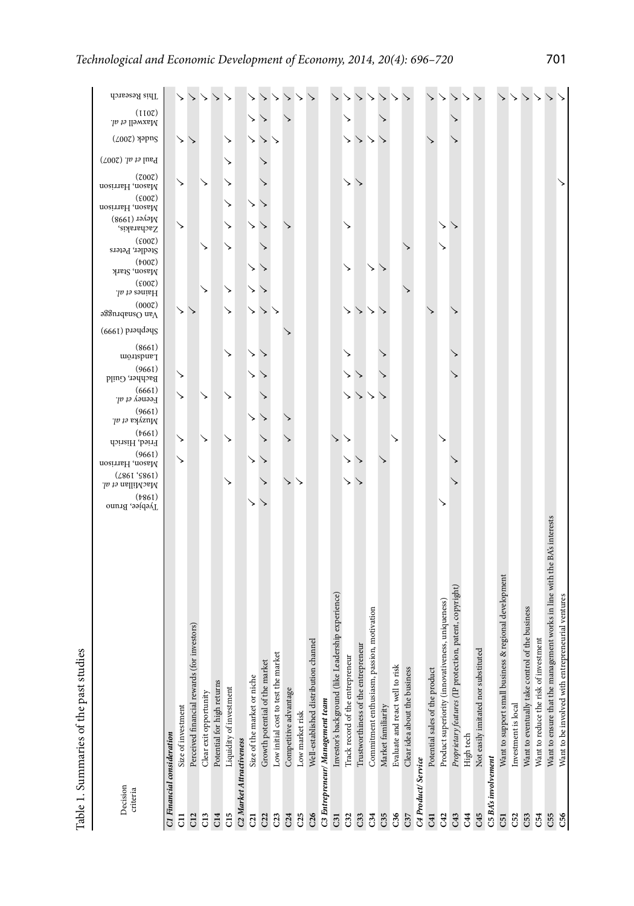| This Research                     |                            |                    |                                             |                        |                           |                         |                          |                             |                                |                                     |                       |                 |                          |                                 |                                                    |                           |                                     |                                            |                    |                                 |                               |                    |                                |                                                  |                                                         |           |                                     |                     |                                                       |                     |                         |                         |                                                  |                            |
|-----------------------------------|----------------------------|--------------------|---------------------------------------------|------------------------|---------------------------|-------------------------|--------------------------|-----------------------------|--------------------------------|-------------------------------------|-----------------------|-----------------|--------------------------|---------------------------------|----------------------------------------------------|---------------------------|-------------------------------------|--------------------------------------------|--------------------|---------------------------------|-------------------------------|--------------------|--------------------------------|--------------------------------------------------|---------------------------------------------------------|-----------|-------------------------------------|---------------------|-------------------------------------------------------|---------------------|-------------------------|-------------------------|--------------------------------------------------|----------------------------|
| (1107)<br>Maxwell et al.          |                            |                    |                                             |                        |                           |                         |                          |                             |                                |                                     |                       |                 |                          |                                 |                                                    |                           |                                     |                                            |                    |                                 |                               |                    |                                |                                                  |                                                         |           |                                     |                     |                                                       |                     |                         |                         |                                                  |                            |
| $(2007)$ хәрп $S$                 |                            |                    |                                             |                        |                           |                         |                          |                             |                                |                                     |                       |                 |                          |                                 |                                                    |                           |                                     |                                            |                    |                                 |                               |                    |                                |                                                  |                                                         |           |                                     |                     |                                                       |                     |                         |                         |                                                  |                            |
| Paul et al. (2007)                |                            |                    |                                             |                        |                           |                         |                          |                             |                                |                                     |                       |                 |                          |                                 |                                                    |                           |                                     |                                            |                    |                                 |                               |                    |                                |                                                  |                                                         |           |                                     |                     |                                                       |                     |                         |                         |                                                  |                            |
| (200Z)<br>Mason, Harrison         |                            |                    |                                             |                        |                           |                         |                          |                             |                                |                                     |                       |                 |                          |                                 |                                                    |                           |                                     |                                            |                    |                                 |                               |                    |                                |                                                  |                                                         |           |                                     |                     |                                                       |                     |                         |                         |                                                  |                            |
| (5007)<br>Mason, Harrison         |                            |                    |                                             |                        |                           |                         |                          |                             |                                |                                     |                       |                 |                          |                                 |                                                    |                           |                                     |                                            |                    |                                 |                               |                    |                                |                                                  |                                                         |           |                                     |                     |                                                       |                     |                         |                         |                                                  |                            |
| Meyer (1998)<br>Zacharakis,       |                            |                    |                                             |                        |                           |                         |                          |                             |                                |                                     |                       |                 |                          |                                 |                                                    |                           |                                     |                                            |                    |                                 |                               |                    |                                |                                                  |                                                         |           |                                     |                     |                                                       |                     |                         |                         |                                                  |                            |
| (5007)<br>Stedler, Peters         |                            |                    |                                             |                        |                           |                         |                          |                             |                                |                                     |                       |                 |                          |                                 |                                                    |                           |                                     |                                            |                    |                                 |                               |                    |                                |                                                  |                                                         |           |                                     |                     |                                                       |                     |                         |                         |                                                  |                            |
| $(*007)$<br>Mason, Stark          |                            |                    |                                             |                        |                           |                         |                          |                             |                                |                                     |                       |                 |                          |                                 |                                                    | ↘                         |                                     |                                            |                    |                                 |                               |                    |                                |                                                  |                                                         |           |                                     |                     |                                                       |                     |                         |                         |                                                  |                            |
| (5007)<br>Haines et al.           |                            |                    |                                             |                        |                           |                         |                          |                             |                                |                                     |                       |                 |                          |                                 |                                                    |                           |                                     |                                            |                    |                                 |                               |                    |                                |                                                  |                                                         |           |                                     |                     |                                                       |                     |                         |                         |                                                  |                            |
| (0007)<br>$\log$ Osmaprugge       |                            |                    |                                             |                        |                           |                         |                          |                             |                                |                                     |                       |                 |                          |                                 |                                                    |                           |                                     |                                            |                    |                                 |                               |                    |                                |                                                  |                                                         |           |                                     |                     |                                                       |                     |                         |                         |                                                  |                            |
| (6661) p.19ydəy                   |                            |                    |                                             |                        |                           |                         |                          |                             |                                |                                     |                       |                 |                          |                                 |                                                    |                           |                                     |                                            |                    |                                 |                               |                    |                                |                                                  |                                                         |           |                                     |                     |                                                       |                     |                         |                         |                                                  |                            |
| (8661)<br>Landström               |                            |                    |                                             |                        |                           |                         |                          |                             |                                |                                     |                       |                 |                          |                                 |                                                    |                           |                                     |                                            |                    |                                 |                               |                    |                                |                                                  |                                                         |           |                                     |                     |                                                       |                     |                         |                         |                                                  |                            |
| (9661)<br>Bachher, Guild          |                            |                    |                                             |                        |                           |                         |                          |                             |                                |                                     |                       |                 |                          |                                 |                                                    |                           |                                     |                                            |                    |                                 |                               |                    |                                |                                                  |                                                         |           |                                     |                     |                                                       |                     |                         |                         |                                                  |                            |
| (6661)<br>Feeney et al.           |                            |                    |                                             |                        |                           | ↘                       |                          |                             |                                |                                     |                       |                 |                          |                                 |                                                    |                           |                                     |                                            |                    |                                 |                               |                    |                                |                                                  |                                                         |           |                                     |                     |                                                       |                     |                         |                         |                                                  |                            |
| (966I)<br><i>p 19</i> ex/znM      |                            |                    |                                             |                        |                           |                         |                          |                             |                                |                                     |                       |                 |                          |                                 |                                                    |                           |                                     |                                            |                    |                                 |                               |                    |                                |                                                  |                                                         |           |                                     |                     |                                                       |                     |                         |                         |                                                  |                            |
| $(*661)$<br>Fried, Hisrich        |                            |                    |                                             |                        |                           | ↘                       |                          |                             |                                |                                     |                       |                 |                          |                                 |                                                    |                           |                                     |                                            |                    |                                 |                               |                    |                                |                                                  |                                                         |           |                                     |                     |                                                       |                     |                         |                         |                                                  |                            |
| (9661)<br>Mason, Harrison         |                            |                    |                                             |                        |                           |                         |                          |                             |                                |                                     |                       |                 |                          |                                 |                                                    |                           |                                     |                                            |                    |                                 |                               |                    |                                |                                                  |                                                         |           |                                     |                     |                                                       |                     |                         |                         |                                                  |                            |
| (1985' 1987)<br>MacMillan et al.  |                            |                    |                                             |                        |                           |                         |                          |                             |                                |                                     |                       |                 |                          |                                 |                                                    |                           |                                     |                                            |                    |                                 |                               |                    |                                |                                                  |                                                         |           |                                     |                     |                                                       |                     |                         |                         |                                                  |                            |
| $(*861)$<br>Onund , believ, Bruno |                            |                    |                                             |                        |                           |                         |                          |                             |                                |                                     |                       |                 |                          |                                 |                                                    |                           |                                     |                                            |                    |                                 |                               |                    |                                |                                                  |                                                         |           |                                     |                     |                                                       |                     |                         |                         |                                                  |                            |
|                                   |                            |                    |                                             |                        |                           |                         |                          |                             |                                |                                     |                       |                 |                          |                                 |                                                    |                           |                                     |                                            |                    |                                 |                               |                    |                                |                                                  |                                                         |           |                                     |                     |                                                       |                     |                         |                         |                                                  |                            |
|                                   |                            |                    |                                             |                        |                           |                         |                          |                             |                                |                                     |                       |                 |                          |                                 |                                                    |                           |                                     |                                            |                    |                                 |                               |                    |                                |                                                  |                                                         |           |                                     |                     |                                                       |                     |                         |                         | management works in line with the BA's interests |                            |
|                                   |                            |                    |                                             |                        |                           |                         |                          |                             |                                |                                     |                       |                 |                          |                                 |                                                    |                           |                                     |                                            |                    |                                 |                               |                    |                                |                                                  |                                                         |           |                                     |                     |                                                       |                     |                         |                         |                                                  |                            |
|                                   |                            |                    |                                             |                        |                           |                         |                          |                             |                                |                                     |                       |                 |                          |                                 |                                                    |                           |                                     |                                            |                    |                                 |                               |                    |                                |                                                  |                                                         |           |                                     |                     |                                                       |                     |                         |                         |                                                  |                            |
|                                   |                            |                    |                                             |                        |                           |                         |                          |                             |                                |                                     |                       |                 |                          |                                 |                                                    |                           |                                     |                                            |                    |                                 |                               |                    |                                |                                                  | Proprietary features (IP protection, patent, copyright) |           |                                     |                     | Want to support small business & regional development |                     |                         |                         |                                                  |                            |
|                                   |                            |                    |                                             |                        |                           |                         |                          |                             |                                |                                     |                       |                 |                          |                                 | Investor's background (like Leadership experience) |                           |                                     | Commitment enthusiasm, passion, motivation |                    |                                 |                               |                    |                                | Product superiority (innovativeness, uniqueness) |                                                         |           |                                     |                     |                                                       |                     | control of the business |                         |                                                  | h entrepreneurial ventures |
|                                   |                            |                    | Perceived financial rewards (for investors) |                        |                           |                         |                          |                             |                                |                                     |                       |                 |                          |                                 |                                                    |                           |                                     |                                            |                    |                                 |                               |                    |                                |                                                  |                                                         |           |                                     |                     |                                                       |                     |                         |                         |                                                  |                            |
|                                   |                            |                    |                                             |                        |                           |                         |                          |                             |                                |                                     |                       |                 | ation channel            |                                 |                                                    |                           |                                     |                                            |                    |                                 |                               |                    |                                |                                                  |                                                         |           |                                     |                     |                                                       |                     |                         | of investment           |                                                  |                            |
|                                   |                            |                    |                                             |                        |                           |                         |                          |                             |                                |                                     |                       |                 |                          |                                 |                                                    | preneur                   |                                     |                                            |                    |                                 |                               |                    |                                |                                                  |                                                         |           |                                     |                     |                                                       |                     |                         |                         |                                                  |                            |
|                                   |                            |                    |                                             |                        |                           |                         |                          |                             |                                |                                     |                       |                 |                          |                                 |                                                    |                           |                                     |                                            |                    |                                 |                               |                    |                                |                                                  |                                                         |           |                                     |                     |                                                       |                     |                         |                         |                                                  |                            |
|                                   |                            |                    |                                             |                        |                           |                         |                          |                             |                                |                                     |                       |                 |                          |                                 |                                                    |                           |                                     |                                            |                    |                                 |                               |                    |                                |                                                  |                                                         |           |                                     |                     |                                                       |                     |                         |                         |                                                  |                            |
|                                   |                            |                    |                                             |                        |                           |                         |                          |                             |                                |                                     |                       |                 |                          |                                 |                                                    |                           |                                     |                                            |                    |                                 |                               |                    |                                |                                                  |                                                         |           |                                     |                     |                                                       |                     |                         |                         |                                                  |                            |
|                                   |                            |                    |                                             |                        |                           |                         |                          |                             |                                |                                     |                       |                 |                          |                                 |                                                    |                           |                                     |                                            |                    |                                 |                               |                    |                                |                                                  |                                                         |           |                                     |                     |                                                       |                     |                         |                         |                                                  |                            |
|                                   |                            | Size of investment |                                             | Clear exit opportunity | Potential for high return | Liquidity of investment |                          | Size of the market or niche | Growth potential of the market | Low initial cost to test the market | Competitive advantage | Low market risk | Well-established distrib |                                 |                                                    | Track record of the entre | Trustworthiness of the entrepreneur |                                            | Market familiarity | Evaluate and react well to risk | Clear idea about the business |                    | Potential sales of the product |                                                  |                                                         | High tech | Not easily imitated nor substituted |                     |                                                       | Investment is local | Want to eventually take | Want to reduce the risk | Want to ensure that the                          | Want to be involved wit    |
|                                   |                            |                    |                                             |                        |                           |                         |                          |                             |                                |                                     |                       |                 |                          |                                 |                                                    |                           |                                     |                                            |                    |                                 |                               |                    |                                |                                                  |                                                         |           |                                     |                     |                                                       |                     |                         |                         |                                                  |                            |
|                                   |                            |                    |                                             |                        |                           |                         |                          |                             |                                |                                     |                       |                 |                          |                                 |                                                    |                           |                                     |                                            |                    |                                 |                               |                    |                                |                                                  |                                                         |           |                                     |                     |                                                       |                     |                         |                         |                                                  |                            |
| Decision<br>criteria              |                            |                    |                                             |                        |                           |                         |                          |                             |                                |                                     |                       |                 |                          |                                 |                                                    |                           |                                     |                                            |                    |                                 |                               |                    |                                |                                                  |                                                         |           |                                     |                     |                                                       |                     |                         |                         |                                                  |                            |
|                                   | CI Financial consideration |                    |                                             |                        |                           |                         | C2 Market Attractiveness |                             |                                |                                     |                       |                 |                          | C3 Entrepreneur/Management team |                                                    |                           |                                     |                                            |                    |                                 |                               | C4 Product/Service |                                |                                                  |                                                         |           |                                     | C5 BA's involvement |                                                       |                     |                         |                         |                                                  |                            |
|                                   |                            | $\overline{a}$     | C12                                         | $\overline{c}$         | C14                       | CI5                     |                          | $\overline{c}$              | C22                            | C23                                 | C24                   | C25             | C26                      |                                 | $\overline{c}$                                     | C32                       | C33                                 | C34                                        | C35                | C36                             | C37                           |                    | $\overline{a}$                 | C <sub>42</sub>                                  | C43                                                     | 64        | C45                                 |                     | $\overline{c}$                                        | C52                 | C53                     | C54                     | C55                                              | C56                        |

Table 1. Summaries of the past studies

Table 1. Summaries of the past studies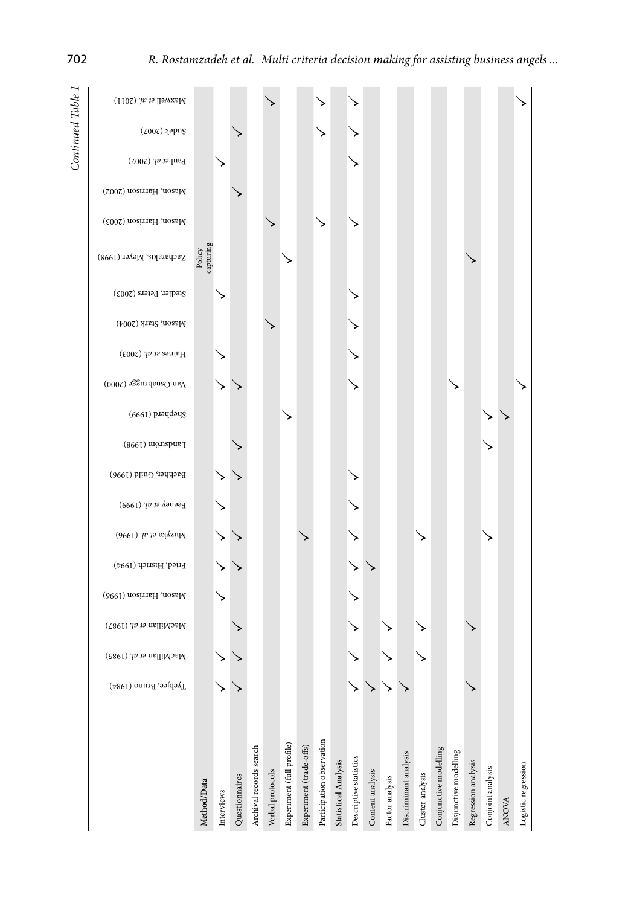Continued Table  $\cal I$ *Continued Table 1*

| Maxwell et al. $(2011)$                 |                     |             |                |                         |                  |                           |                         |                           |                             |                        |                       |                 |                       |                  |                       |                       |                     |                   |              |                     |
|-----------------------------------------|---------------------|-------------|----------------|-------------------------|------------------|---------------------------|-------------------------|---------------------------|-----------------------------|------------------------|-----------------------|-----------------|-----------------------|------------------|-----------------------|-----------------------|---------------------|-------------------|--------------|---------------------|
| $(2007)$ хәрп $S$                       |                     |             |                |                         |                  |                           |                         |                           |                             |                        |                       |                 |                       |                  |                       |                       |                     |                   |              |                     |
| Paul et al. (2007)                      |                     |             |                |                         |                  |                           |                         |                           |                             |                        |                       |                 |                       |                  |                       |                       |                     |                   |              |                     |
| (2002) nosirisH , nossM                 |                     |             |                |                         |                  |                           |                         |                           |                             |                        |                       |                 |                       |                  |                       |                       |                     |                   |              |                     |
| Mason, Harrison (2003)                  |                     |             |                |                         |                  |                           |                         |                           |                             |                        |                       |                 |                       |                  |                       |                       |                     |                   |              |                     |
| Zacharakis, Meyer (1998)                | Policy<br>capturing |             |                |                         |                  |                           |                         |                           |                             |                        |                       |                 |                       |                  |                       |                       |                     |                   |              |                     |
| Stedler, Peters (2003)                  |                     |             |                |                         |                  |                           |                         |                           |                             |                        |                       |                 |                       |                  |                       |                       |                     |                   |              |                     |
| Mason, Stark (2004)                     |                     |             |                |                         |                  |                           |                         |                           |                             |                        |                       |                 |                       |                  |                       |                       |                     |                   |              |                     |
| Haines et al. $(2002)$                  |                     |             |                |                         |                  |                           |                         |                           |                             |                        |                       |                 |                       |                  |                       |                       |                     |                   |              |                     |
| $\rm (0002)$ əggurdan<br>e $\rm (2000)$ |                     |             |                |                         |                  |                           |                         |                           |                             |                        |                       |                 |                       |                  |                       |                       |                     |                   |              |                     |
| (6661) рлэцдэц $\zeta$                  |                     |             |                |                         |                  |                           |                         |                           |                             |                        |                       |                 |                       |                  |                       |                       |                     |                   |              |                     |
| Landström (1998)                        |                     |             |                |                         |                  |                           |                         |                           |                             |                        |                       |                 |                       |                  |                       |                       |                     |                   |              |                     |
| Bachher, Guild (1996)                   |                     |             |                |                         |                  |                           |                         |                           |                             |                        |                       |                 |                       |                  |                       |                       |                     |                   |              |                     |
| Feeney et al. (1999)                    |                     |             |                |                         |                  |                           |                         |                           |                             |                        |                       |                 |                       |                  |                       |                       |                     |                   |              |                     |
| Muzyka et al. (1996)                    |                     |             |                |                         |                  |                           |                         |                           |                             |                        |                       |                 |                       |                  |                       |                       |                     |                   |              |                     |
| Fried, Hisrich (1994)                   |                     |             |                |                         |                  |                           |                         |                           |                             |                        |                       |                 |                       |                  |                       |                       |                     |                   |              |                     |
| (9691) nosirisH , nossM                 |                     |             |                |                         |                  |                           |                         |                           |                             |                        |                       |                 |                       |                  |                       |                       |                     |                   |              |                     |
| MacMillan et al. (1987)                 |                     |             |                |                         |                  |                           |                         |                           |                             |                        |                       |                 |                       |                  |                       |                       |                     |                   |              |                     |
| MacMillan et al. (1985)                 |                     |             |                |                         |                  |                           |                         |                           |                             |                        |                       |                 |                       |                  |                       |                       |                     |                   |              |                     |
| Tyebjee, Bruno (1984)                   |                     | $\check{ }$ | ↘              |                         |                  |                           |                         |                           |                             | $\checkmark$           | $\blacktriangleright$ | ↘               | ↘                     |                  |                       |                       | $\check{ }$         |                   |              |                     |
|                                         |                     |             |                |                         |                  |                           |                         |                           |                             |                        |                       |                 |                       |                  |                       |                       |                     |                   |              |                     |
|                                         |                     |             |                |                         |                  |                           |                         |                           |                             |                        |                       |                 |                       |                  |                       |                       |                     |                   |              |                     |
|                                         |                     |             |                | Archival records search | Verbal protocols | Experiment (full profile) | Experiment (trade-offs) | Participation observation | <b>Statistical Analysis</b> | Descriptive statistics | Content analysis      |                 | Discriminant analysis | Cluster analysis | Conjunctive modelling | Disjunctive modelling | Regression analysis | Conjoint analysis |              | Logistic regression |
|                                         | Method/Data         | Interviews  | Questionnaires |                         |                  |                           |                         |                           |                             |                        |                       | Factor analysis |                       |                  |                       |                       |                     |                   | <b>ANOVA</b> |                     |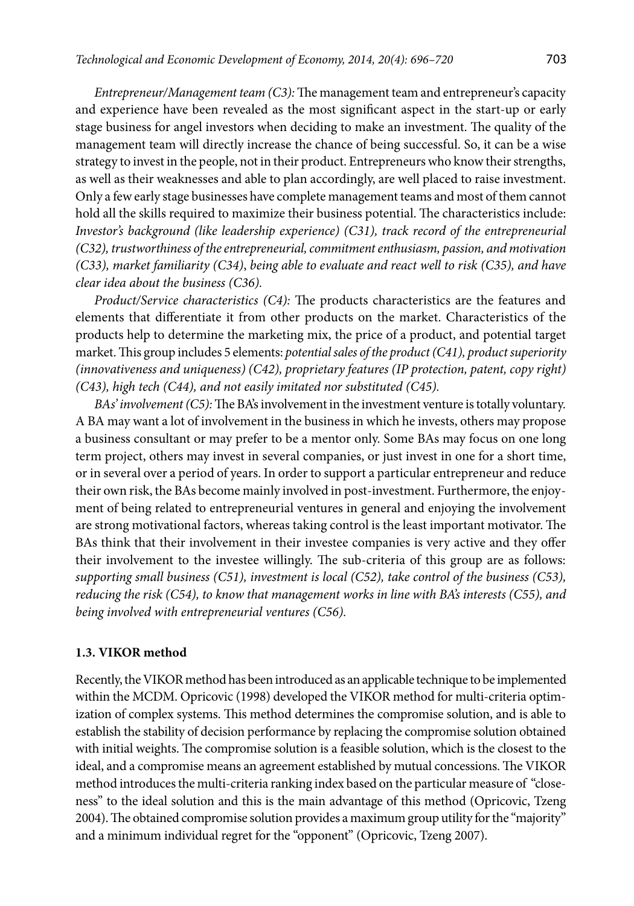*Entrepreneur/Management team (C3):* The management team and entrepreneur's capacity and experience have been revealed as the most significant aspect in the start-up or early stage business for angel investors when deciding to make an investment. The quality of the management team will directly increase the chance of being successful. So, it can be a wise strategy to invest in the people, not in their product. Entrepreneurs who know their strengths, as well as their weaknesses and able to plan accordingly, are well placed to raise investment. Only a few early stage businesses have complete management teams and most of them cannot hold all the skills required to maximize their business potential. The characteristics include: *Investor's background (like leadership experience) (C31), track record of the entrepreneurial (C32), trustworthiness of the entrepreneurial, commitment enthusiasm, passion, and motivation (C33), market familiarity (C34)*, *being able to evaluate and react well to risk (C35), and have clear idea about the business (C36).*

*Product/Service characteristics (C4):* The products characteristics are the features and elements that differentiate it from other products on the market. Characteristics of the products help to determine the marketing mix, the price of a product, and potential target market. This group includes 5 elements: *potential sales of the product (C41), product superiority (innovativeness and uniqueness) (C42), proprietary features (IP protection, patent, copy right) (C43), high tech (C44), and not easily imitated nor substituted (C45).*

*BAs' involvement (C5):* The BA's involvement in the investment venture is totally voluntary. A BA may want a lot of involvement in the business in which he invests, others may propose a business consultant or may prefer to be a mentor only. Some BAs may focus on one long term project, others may invest in several companies, or just invest in one for a short time, or in several over a period of years. In order to support a particular entrepreneur and reduce their own risk, the BAs become mainly involved in post-investment. Furthermore, the enjoyment of being related to entrepreneurial ventures in general and enjoying the involvement are strong motivational factors, whereas taking control is the least important motivator. The BAs think that their involvement in their investee companies is very active and they offer their involvement to the investee willingly. The sub-criteria of this group are as follows: *supporting small business (C51), investment is local (C52), take control of the business (C53), reducing the risk (C54), to know that management works in line with BA's interests (C55), and being involved with entrepreneurial ventures (C56).*

## **1.3. VIKOR method**

Recently, the VIKOR method has been introduced as an applicable technique to be implemented within the MCDM. Opricovic (1998) developed the VIKOR method for multi-criteria optimization of complex systems. This method determines the compromise solution, and is able to establish the stability of decision performance by replacing the compromise solution obtained with initial weights. The compromise solution is a feasible solution, which is the closest to the ideal, and a compromise means an agreement established by mutual concessions. The VIKOR method introduces the multi-criteria ranking index based on the particular measure of "closeness" to the ideal solution and this is the main advantage of this method (Opricovic, Tzeng 2004). The obtained compromise solution provides a maximum group utility for the "majority" and a minimum individual regret for the "opponent" (Opricovic, Tzeng 2007).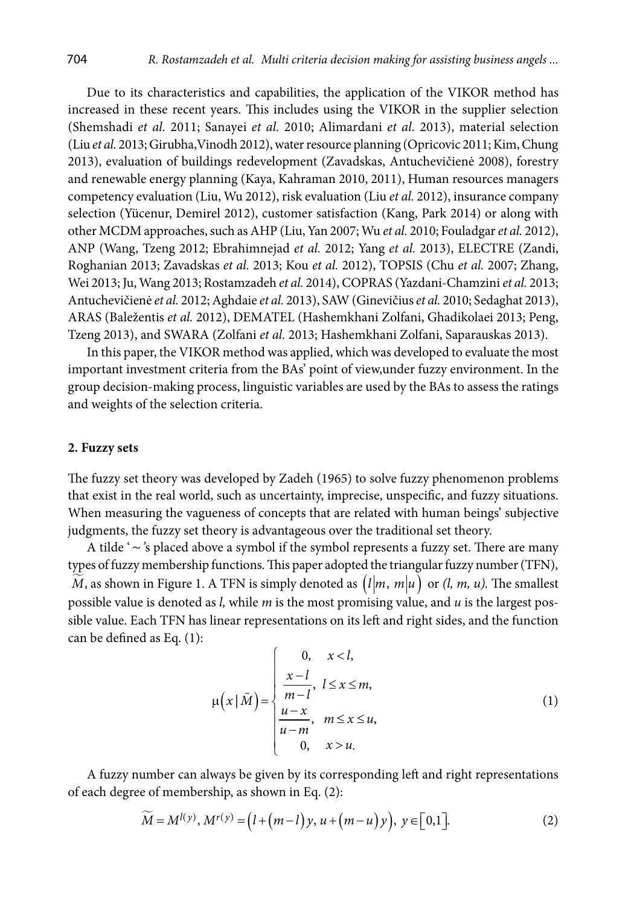Due to its characteristics and capabilities, the application of the VIKOR method has increased in these recent years. This includes using the VIKOR in the supplier selection (Shemshadi *et al.* 2011; Sanayei *et al.* 2010; Alimardani *et al.* 2013), material selection (Liu *et al.* 2013; Girubha,Vinodh 2012), water resource planning (Opricovic 2011; Kim, Chung 2013), evaluation of buildings redevelopment (Zavadskas, Antuchevičienė 2008), forestry and renewable energy planning (Kaya, Kahraman 2010, 2011), Human resources managers competency evaluation (Liu, Wu 2012), risk evaluation (Liu *et al.* 2012), insurance company selection (Yücenur, Demirel 2012), customer satisfaction (Kang, Park 2014) or along with other MCDM approaches, such as AHP (Liu, Yan 2007; Wu *et al.* 2010; Fouladgar *et al.* 2012), ANP (Wang, Tzeng 2012; Ebrahimnejad *et al.* 2012; Yang *et al.* 2013), ELECTRE (Zandi, Roghanian 2013; Zavadskas *et al.* 2013; Kou *et al.* 2012), TOPSIS (Chu *et al.* 2007; Zhang, Wei 2013; Ju, Wang 2013; Rostamzadeh *et al.* 2014), COPRAS (Yazdani-Chamzini *et al.* 2013; Antuchevičienė *et al.* 2012; Aghdaie *et al.* 2013), SAW (Ginevičius *et al.* 2010; Sedaghat 2013), ARAS (Baležentis *et al.* 2012), DEMATEL (Hashemkhani Zolfani, Ghadikolaei 2013; Peng, Tzeng 2013), and SWARA (Zolfani *et al.* 2013; Hashemkhani Zolfani, Saparauskas 2013).

In this paper, the VIKOR method was applied, which was developed to evaluate the most important investment criteria from the BAs' point of view,under fuzzy environment. In the group decision-making process, linguistic variables are used by the BAs to assess the ratings and weights of the selection criteria.

#### **2. Fuzzy sets**

The fuzzy set theory was developed by Zadeh (1965) to solve fuzzy phenomenon problems that exist in the real world, such as uncertainty, imprecise, unspecific, and fuzzy situations. When measuring the vagueness of concepts that are related with human beings' subjective judgments, the fuzzy set theory is advantageous over the traditional set theory.

A tilde  $\sim$ 's placed above a symbol if the symbol represents a fuzzy set. There are many types of fuzzy membership functions. This paper adopted the triangular fuzzy number (TFN),  $\widetilde{M}$ , as shown in Figure 1. A TFN is simply denoted as  $\left(l\vert m,\, m\vert u\right)$  or  $\left(l,m,\, u\right)$ . The smallest possible value is denoted as *l,* while *m* is the most promising value, and *u* is the largest possible value. Each TFN has linear representations on its left and right sides, and the function can be defined as Eq. (1):

$$
\mu(x|\tilde{M}) = \begin{cases}\n0, & x < l, \\
\frac{x - l}{m - l}, & l \leq x \leq m, \\
\frac{u - x}{u - m}, & m \leq x \leq u, \\
0, & x > u.\n\end{cases}
$$
\n(1)

A fuzzy number can always be given by its corresponding left and right representations of each degree of membership, as shown in Eq. (2):

$$
\widetilde{M} = M^{l(y)}, M^{r(y)} = (l + (m - l)y, u + (m - u)y), y \in [0, 1].
$$
\n(2)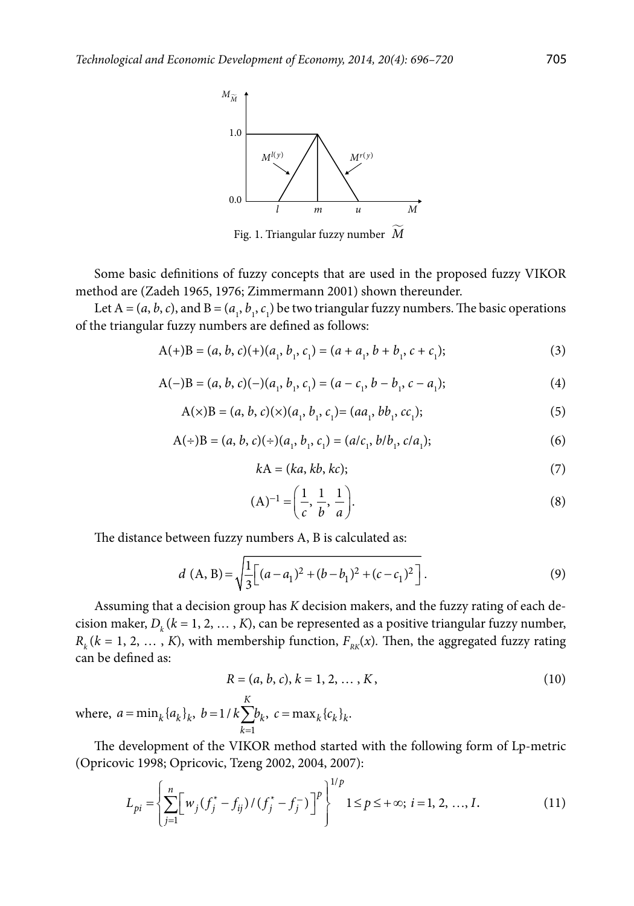

Fig. 1. Triangular fuzzy number *M*

Some basic definitions of fuzzy concepts that are used in the proposed fuzzy VIKOR method are (Zadeh 1965, 1976; Zimmermann 2001) shown thereunder.

Let A =  $(a, b, c)$ , and B =  $(a_1, b_1, c_1)$  be two triangular fuzzy numbers. The basic operations of the triangular fuzzy numbers are defined as follows:

$$
A(+)B = (a, b, c)(+)(a1, b1, c1) = (a + a1, b + b1, c + c1);
$$
\n(3)

$$
A(-)B = (a, b, c)(-)(a1, b1, c1) = (a - c1, b - b1, c - a1); \t\t(4)
$$

$$
A(x)B = (a, b, c)(x)(a1, b1, c1) = (aa1, bb1, cc1);
$$
\n(5)

$$
A(\div)B = (a, b, c)(\div)(a_1, b_1, c_1) = (a/c_1, b/b_1, c/a_1);
$$
\n(6)

$$
kA = (ka, kb, kc); \tag{7}
$$

$$
(A)^{-1} = \left(\frac{1}{c}, \frac{1}{b}, \frac{1}{a}\right).
$$
 (8)

The distance between fuzzy numbers A, B is calculated as:

$$
d(A, B) = \sqrt{\frac{1}{3} \left[ (a - a_1)^2 + (b - b_1)^2 + (c - c_1)^2 \right]}.
$$
 (9)

Assuming that a decision group has *K* decision makers, and the fuzzy rating of each decision maker,  $D_k$  ( $k = 1, 2, ..., K$ ), can be represented as a positive triangular fuzzy number,  $R_k$  ( $k = 1, 2, ..., K$ ), with membership function,  $F_{Rk}(x)$ . Then, the aggregated fuzzy rating can be defined as:

$$
R = (a, b, c), k = 1, 2, ..., K,
$$
\n(10)

where,  $a = \min_{k} {a_k}_{k}$ , 1 1/ *K k k*  $b = 1/k$  $b$  $= 1 / k \sum_{k=1}^{k} b_k, \ c = \max_k \{c_k\}_k.$ 

The development of the VIKOR method started with the following form of Lp-metric (Opricovic 1998; Opricovic, Tzeng 2002, 2004, 2007):

$$
L_{pi} = \left\{ \sum_{j=1}^{n} \left[ w_j (f_j^* - f_{ij}) / (f_j^* - f_j^-) \right]^p \right\}^{1/p} 1 \le p \le +\infty; \ i = 1, 2, ..., I. \tag{11}
$$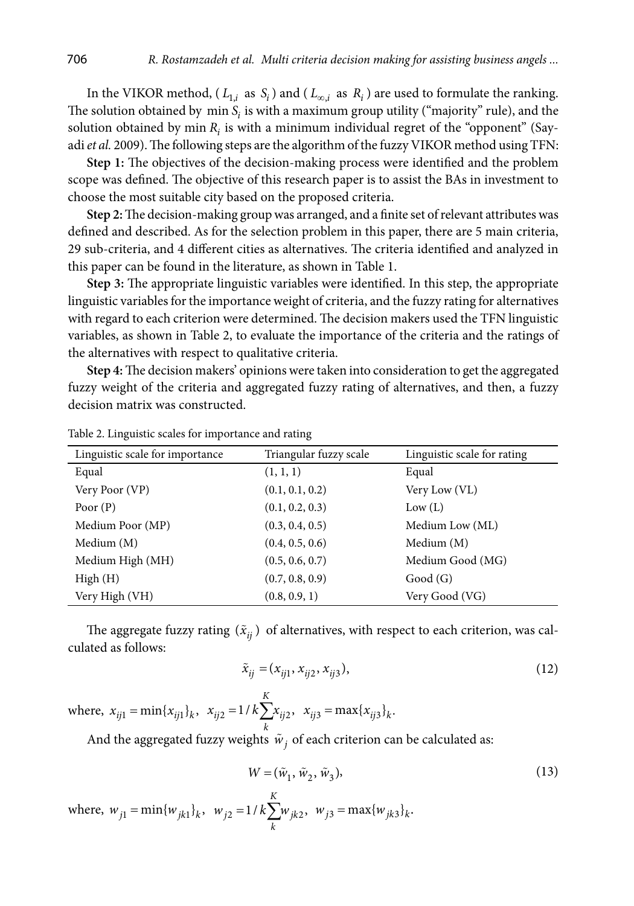In the VIKOR method, ( $L_{1,i}$  as  $S_i$ ) and ( $L_{\infty,i}$  as  $R_i$ ) are used to formulate the ranking. The solution obtained by min  $S_i$  is with a maximum group utility ("majority" rule), and the solution obtained by min  $R_i$  is with a minimum individual regret of the "opponent" (Sayadi *et al.* 2009). The following steps are the algorithm of the fuzzy VIKOR method using TFN:

**Step 1:** The objectives of the decision-making process were identified and the problem scope was defined. The objective of this research paper is to assist the BAs in investment to choose the most suitable city based on the proposed criteria.

**Step 2:**The decision-making group was arranged, and a finite set of relevant attributes was defined and described. As for the selection problem in this paper, there are 5 main criteria, 29 sub-criteria, and 4 different cities as alternatives. The criteria identified and analyzed in this paper can be found in the literature, as shown in Table 1.

**Step 3:** The appropriate linguistic variables were identified. In this step, the appropriate linguistic variables for the importance weight of criteria, and the fuzzy rating for alternatives with regard to each criterion were determined. The decision makers used the TFN linguistic variables, as shown in Table 2, to evaluate the importance of the criteria and the ratings of the alternatives with respect to qualitative criteria.

**Step 4:**The decision makers' opinions were taken into consideration to get the aggregated fuzzy weight of the criteria and aggregated fuzzy rating of alternatives, and then, a fuzzy decision matrix was constructed.

| Linguistic scale for importance | Triangular fuzzy scale | Linguistic scale for rating |
|---------------------------------|------------------------|-----------------------------|
| Equal                           | (1, 1, 1)              | Equal                       |
| Very Poor (VP)                  | (0.1, 0.1, 0.2)        | Very Low (VL)               |
| Poor $(P)$                      | (0.1, 0.2, 0.3)        | Low (L)                     |
| Medium Poor (MP)                | (0.3, 0.4, 0.5)        | Medium Low (ML)             |
| Median(M)                       | (0.4, 0.5, 0.6)        | Medium (M)                  |
| Medium High (MH)                | (0.5, 0.6, 0.7)        | Medium Good (MG)            |
| High(H)                         | (0.7, 0.8, 0.9)        | Good(G)                     |
| Very High (VH)                  | (0.8, 0.9, 1)          | Very Good (VG)              |

Table 2. Linguistic scales for importance and rating

The aggregate fuzzy rating  $(\tilde{x}_{ij})$  of alternatives, with respect to each criterion, was calculated as follows:

$$
\tilde{x}_{ij} = (x_{ij1}, x_{ij2}, x_{ij3}),
$$
\n(12)

where,  $x_{ij1} = \min\{x_{ij1}\}_k$ ,  $x_{ij2} = 1/k \sum x_{ij2}$ , *K ij* 2  $^{-1}$   $\sim$   $\sum$   $\lambda$ *ij k*  $x_{ij2} = 1 / k \sum x_{ij2}, x_{ij3} = \max\{x_{ij3}\}_k.$ 

And the aggregated fuzzy weights  $\tilde{w}_j$  of each criterion can be calculated as:

$$
W = (\tilde{w}_1, \tilde{w}_2, \tilde{w}_3),\tag{13}
$$

where,  $w_{j1} = \min \{ w_{jk1} \}_{k}$ ,  $w_{j2} = 1/k \sum w_{jk2}$ , *K j jk k*  $w_{j2} = 1/k \sum w_{jk2}, w_{j3} = \max\{w_{jk3}\}_k.$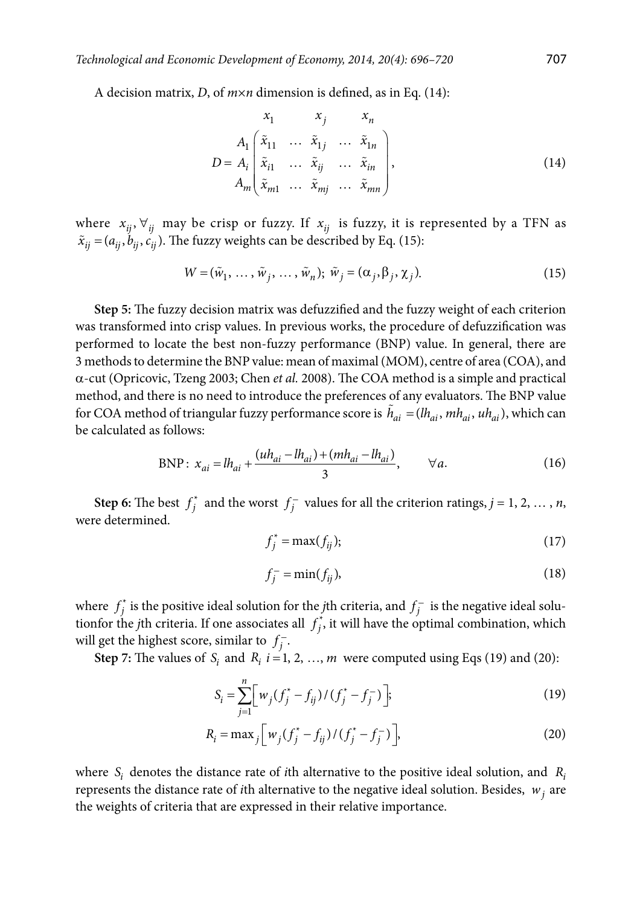A decision matrix, *D*, of *m×n* dimension is defined, as in Eq. (14):

$$
x_1 \qquad x_j \qquad x_n
$$
  
\n
$$
D = A_i \begin{pmatrix} \tilde{x}_{11} & \cdots & \tilde{x}_{1j} & \cdots & \tilde{x}_{1n} \\ \tilde{x}_{i1} & \cdots & \tilde{x}_{ij} & \cdots & \tilde{x}_{in} \\ A_m \begin{pmatrix} \tilde{x}_{m1} & \cdots & \tilde{x}_{mj} & \cdots & \tilde{x}_{mn} \end{pmatrix},
$$
\n(14)

where  $x_{ij}, \forall j$  may be crisp or fuzzy. If  $x_{ij}$  is fuzzy, it is represented by a TFN as  $\tilde{x}_{ij} = (a_{ij}, b_{ij}, c_{ij})$ . The fuzzy weights can be described by Eq. (15):

$$
W = (\tilde{w}_1, \dots, \tilde{w}_j, \dots, \tilde{w}_n); \ \tilde{w}_j = (\alpha_j, \beta_j, \chi_j). \tag{15}
$$

**Step 5:** The fuzzy decision matrix was defuzzified and the fuzzy weight of each criterion was transformed into crisp values. In previous works, the procedure of defuzzification was performed to locate the best non-fuzzy performance (BNP) value. In general, there are 3 methods to determine the BNP value: mean of maximal (MOM), centre of area (COA), and α-cut (Opricovic, Tzeng 2003; Chen *et al.* 2008). The COA method is a simple and practical method, and there is no need to introduce the preferences of any evaluators. The BNP value for COA method of triangular fuzzy performance score is  $\tilde{h}_{ai} = (lh_{ai}, mh_{ai}, uh_{ai})$ , which can be calculated as follows:

BNP: 
$$
x_{ai} = lh_{ai} + \frac{(uh_{ai} - lh_{ai}) + (mh_{ai} - lh_{ai})}{3}
$$
,  $\forall a$ . (16)

**Step 6:** The best  $f_j^*$  and the worst  $f_j^-$  values for all the criterion ratings,  $j = 1, 2, ..., n$ , were determined.

$$
f_j^* = \max(f_{ij});\tag{17}
$$

$$
f_j^- = \min(f_{ij}),\tag{18}
$$

where  $f_j^*$  is the positive ideal solution for the *j*th criteria, and  $f_j^-$  is the negative ideal solutionfor the *j*th criteria. If one associates all  $f_j^*$ , it will have the optimal combination, which will get the highest score, similar to  $f_i^-$ .

**Step 7:** The values of  $S_i$  and  $R_i$  *i* = 1, 2, ..., *m* were computed using Eqs (19) and (20):

$$
S_i = \sum_{j=1}^{n} \left[ w_j (f_j^* - f_{ij}) / (f_j^* - f_j^-) \right];
$$
\n(19)

$$
R_i = \max_j \left[ w_j (f_j^* - f_{ij}) / (f_j^* - f_j^-) \right],
$$
\n(20)

where  $S_i$  denotes the distance rate of *i*th alternative to the positive ideal solution, and  $R_i$ represents the distance rate of *i*th alternative to the negative ideal solution. Besides,  $w_i$  are the weights of criteria that are expressed in their relative importance.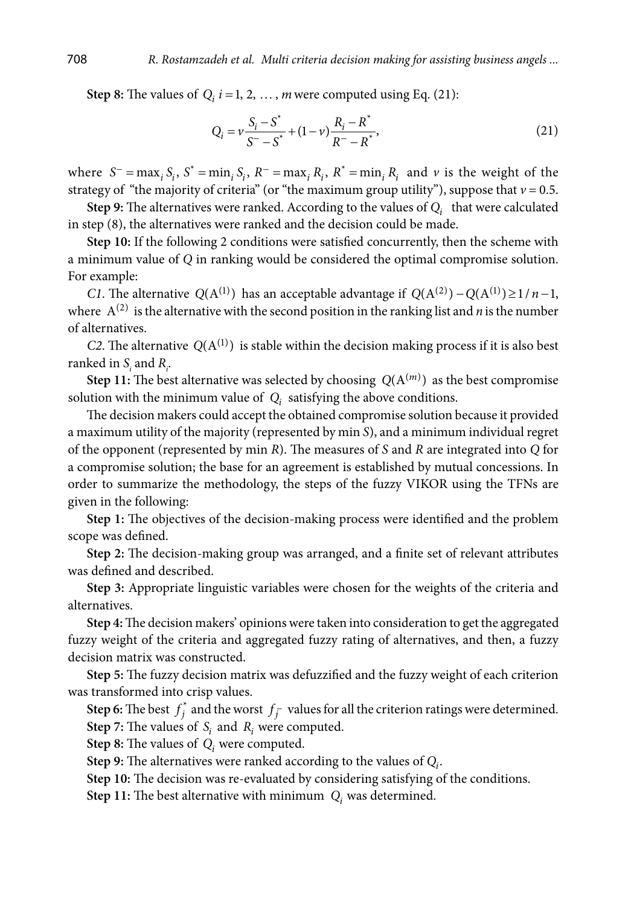**Step 8:** The values of  $Q_i$  *i* = 1, 2, ..., *m* were computed using Eq. (21):

$$
Q_i = \nu \frac{S_i - S^*}{S^* - S^*} + (1 - \nu) \frac{R_i - R^*}{R^* - R^*},
$$
\n(21)

where  $S^- = \max_i S_i$ ,  $S^* = \min_i S_i$ ,  $R^- = \max_i R_i$ ,  $R^* = \min_i R_i$  and  $\nu$  is the weight of the strategy of "the majority of criteria" (or "the maximum group utility"), suppose that  $v = 0.5$ .

**Step 9:** The alternatives were ranked. According to the values of *Qi* that were calculated in step (8), the alternatives were ranked and the decision could be made.

**Step 10:** If the following 2 conditions were satisfied concurrently, then the scheme with a minimum value of *Q* in ranking would be considered the optimal compromise solution. For example:

*C1*. The alternative  $Q(A^{(1)})$  has an acceptable advantage if  $Q(A^{(2)}) - Q(A^{(1)}) \geq 1/n - 1$ , where  $A^{(2)}$  is the alternative with the second position in the ranking list and *n* is the number of alternatives.

*C2*. The alternative  $Q(A^{(1)})$  is stable within the decision making process if it is also best ranked in  $S_i$  and  $R_i$ .

**Step 11:** The best alternative was selected by choosing  $Q(A^{(m)})$  as the best compromise solution with the minimum value of  $Q_i$  satisfying the above conditions.

The decision makers could accept the obtained compromise solution because it provided a maximum utility of the majority (represented by min *S*), and a minimum individual regret of the opponent (represented by min *R*). The measures of *S* and *R* are integrated into *Q* for a compromise solution; the base for an agreement is established by mutual concessions. In order to summarize the methodology, the steps of the fuzzy VIKOR using the TFNs are given in the following:

**Step 1:** The objectives of the decision-making process were identified and the problem scope was defined.

**Step 2:** The decision-making group was arranged, and a finite set of relevant attributes was defined and described.

**Step 3:** Appropriate linguistic variables were chosen for the weights of the criteria and alternatives.

**Step 4:** The decision makers' opinions were taken into consideration to get the aggregated fuzzy weight of the criteria and aggregated fuzzy rating of alternatives, and then, a fuzzy decision matrix was constructed.

**Step 5:** The fuzzy decision matrix was defuzzified and the fuzzy weight of each criterion was transformed into crisp values.

Step 6: The best  $f_j^*$  and the worst  $f_j^-$  values for all the criterion ratings were determined. **Step 7:** The values of  $S_i$  and  $R_i$  were computed.

**Step 8:** The values of *Qi* were computed.

**Step 9:** The alternatives were ranked according to the values of  $Q_i$ .

**Step 10:** The decision was re-evaluated by considering satisfying of the conditions.

**Step 11:** The best alternative with minimum  $Q_i$  was determined.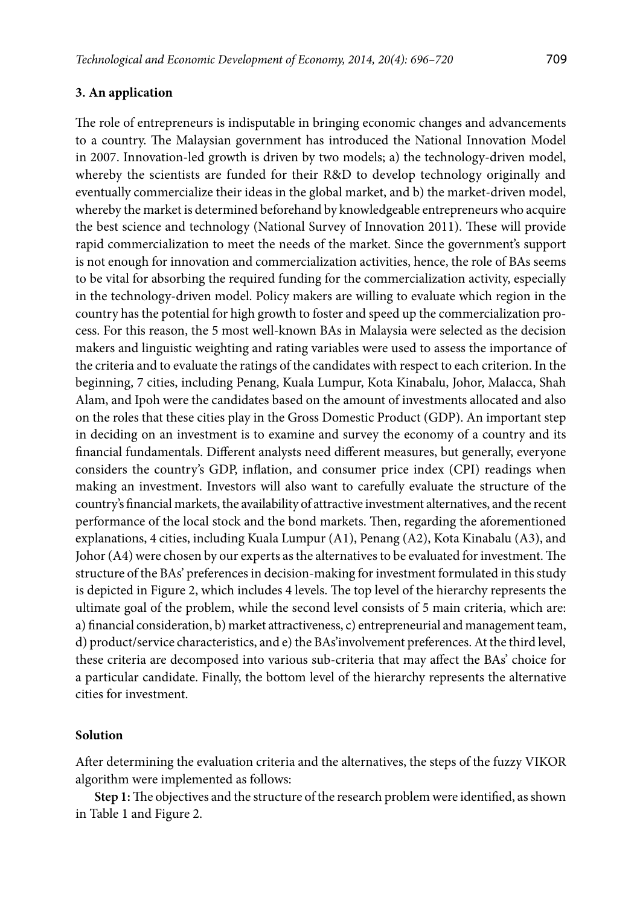## **3. An application**

The role of entrepreneurs is indisputable in bringing economic changes and advancements to a country. The Malaysian government has introduced the National Innovation Model in 2007. Innovation-led growth is driven by two models; a) the technology-driven model, whereby the scientists are funded for their R&D to develop technology originally and eventually commercialize their ideas in the global market, and b) the market-driven model, whereby the market is determined beforehand by knowledgeable entrepreneurs who acquire the best science and technology (National Survey of Innovation 2011). These will provide rapid commercialization to meet the needs of the market. Since the government's support is not enough for innovation and commercialization activities, hence, the role of BAs seems to be vital for absorbing the required funding for the commercialization activity, especially in the technology-driven model. Policy makers are willing to evaluate which region in the country has the potential for high growth to foster and speed up the commercialization process. For this reason, the 5 most well-known BAs in Malaysia were selected as the decision makers and linguistic weighting and rating variables were used to assess the importance of the criteria and to evaluate the ratings of the candidates with respect to each criterion. In the beginning, 7 cities, including Penang, Kuala Lumpur, Kota Kinabalu, Johor, Malacca, Shah Alam, and Ipoh were the candidates based on the amount of investments allocated and also on the roles that these cities play in the Gross Domestic Product (GDP). An important step in deciding on an investment is to examine and survey the economy of a country and its financial fundamentals. Different analysts need different measures, but generally, everyone considers the country's GDP, inflation, and [consumer price index](http://www.investopedia.com/terms/c/consumerpriceindex.asp) (CPI) readings when making an investment. Investors will also want to carefully evaluate the structure of the country's financial markets, the availability of attractive investment alternatives, and the recent performance of the local stock and the bond markets. Then, regarding the aforementioned explanations, 4 cities, including Kuala Lumpur (A1), Penang (A2), Kota Kinabalu (A3), and Johor (A4) were chosen by our experts as the alternatives to be evaluated for investment. The structure of the BAs' preferences in decision-making for investment formulated in this study is depicted in Figure 2, which includes 4 levels. The top level of the hierarchy represents the ultimate goal of the problem, while the second level consists of 5 main criteria, which are: a) financial consideration, b) market attractiveness, c) entrepreneurial and management team, d) product/service characteristics, and e) the BAs'involvement preferences. At the third level, these criteria are decomposed into various sub-criteria that may affect the BAs' choice for a particular candidate. Finally, the bottom level of the hierarchy represents the alternative cities for investment.

#### **Solution**

After determining the evaluation criteria and the alternatives, the steps of the fuzzy VIKOR algorithm were implemented as follows:

**Step 1:**The objectives and the structure of the research problem were identified, as shown in Table 1 and Figure 2.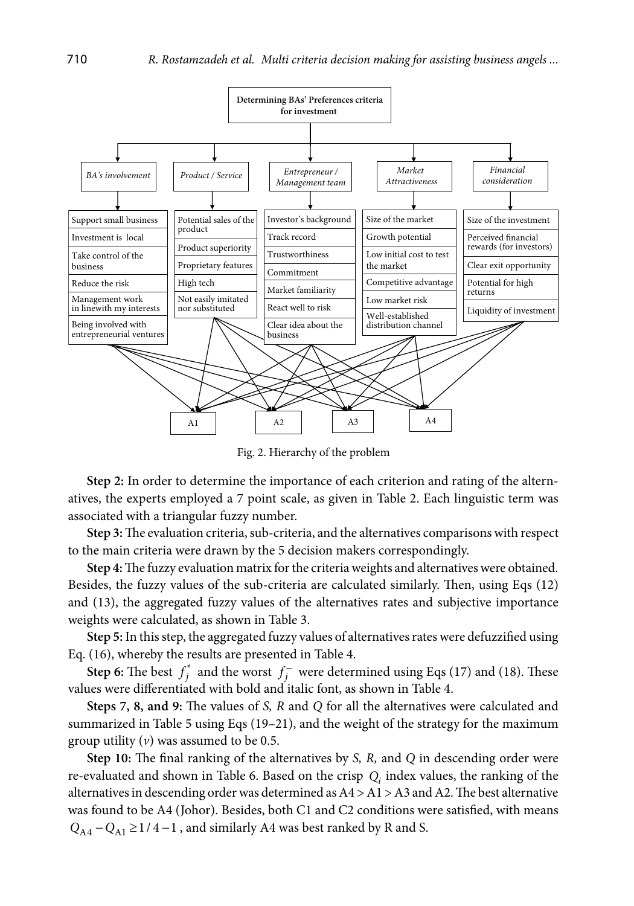

Fig. 2. Hierarchy of the problem

**Step 2:** In order to determine the importance of each criterion and rating of the alternatives, the experts employed a 7 point scale, as given in Table 2. Each linguistic term was associated with a triangular fuzzy number.

**Step 3:**The evaluation criteria, sub-criteria, and the alternatives comparisons with respect to the main criteria were drawn by the 5 decision makers correspondingly.

**Step 4:** The fuzzy evaluation matrix for the criteria weights and alternatives were obtained. Besides, the fuzzy values of the sub-criteria are calculated similarly. Then, using Eqs (12) and (13), the aggregated fuzzy values of the alternatives rates and subjective importance weights were calculated, as shown in Table 3.

**Step 5:**In this step, the aggregated fuzzy values of alternatives rates were defuzzified using Eq. (16), whereby the results are presented in Table 4.

**Step 6:** The best  $f_j^*$  and the worst  $f_j^-$  were determined using Eqs (17) and (18). These values were differentiated with bold and italic font, as shown in Table 4.

**Steps 7, 8, and 9:** The values of *S, R* and *Q* for all the alternatives were calculated and summarized in Table 5 using Eqs (19–21), and the weight of the strategy for the maximum group utility  $(v)$  was assumed to be 0.5.

**Step 10:** The final ranking of the alternatives by *S, R,* and *Q* in descending order were re-evaluated and shown in Table 6. Based on the crisp *Q<sub>i</sub>* index values, the ranking of the alternatives in descending order was determined as  $A4 > A1 > A3$  and  $A2$ . The best alternative was found to be A4 (Johor). Besides, both C1 and C2 conditions were satisfied, with means  $Q_{A4} - Q_{A1} \ge 1/4 - 1$ , and similarly A4 was best ranked by R and S.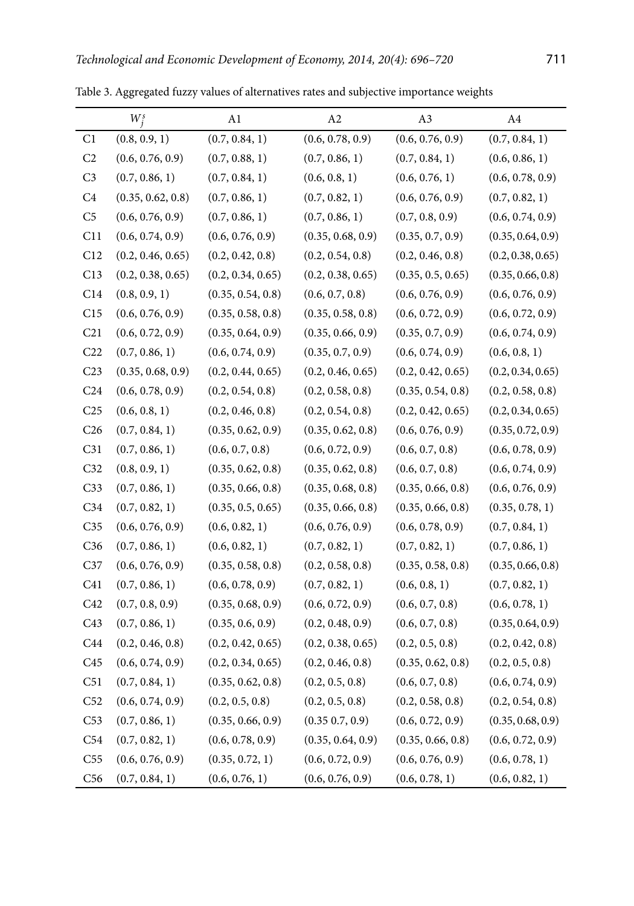|                 | $W_j^s$           | A1                | A2                 | A3                | A4                |
|-----------------|-------------------|-------------------|--------------------|-------------------|-------------------|
| C1              | (0.8, 0.9, 1)     | (0.7, 0.84, 1)    | (0.6, 0.78, 0.9)   | (0.6, 0.76, 0.9)  | (0.7, 0.84, 1)    |
| C2              | (0.6, 0.76, 0.9)  | (0.7, 0.88, 1)    | (0.7, 0.86, 1)     | (0.7, 0.84, 1)    | (0.6, 0.86, 1)    |
| C <sub>3</sub>  | (0.7, 0.86, 1)    | (0.7, 0.84, 1)    | (0.6, 0.8, 1)      | (0.6, 0.76, 1)    | (0.6, 0.78, 0.9)  |
| C4              | (0.35, 0.62, 0.8) | (0.7, 0.86, 1)    | (0.7, 0.82, 1)     | (0.6, 0.76, 0.9)  | (0.7, 0.82, 1)    |
| C5              | (0.6, 0.76, 0.9)  | (0.7, 0.86, 1)    | (0.7, 0.86, 1)     | (0.7, 0.8, 0.9)   | (0.6, 0.74, 0.9)  |
| C11             | (0.6, 0.74, 0.9)  | (0.6, 0.76, 0.9)  | (0.35, 0.68, 0.9)  | (0.35, 0.7, 0.9)  | (0.35, 0.64, 0.9) |
| C12             | (0.2, 0.46, 0.65) | (0.2, 0.42, 0.8)  | (0.2, 0.54, 0.8)   | (0.2, 0.46, 0.8)  | (0.2, 0.38, 0.65) |
| C13             | (0.2, 0.38, 0.65) | (0.2, 0.34, 0.65) | (0.2, 0.38, 0.65)  | (0.35, 0.5, 0.65) | (0.35, 0.66, 0.8) |
| C14             | (0.8, 0.9, 1)     | (0.35, 0.54, 0.8) | (0.6, 0.7, 0.8)    | (0.6, 0.76, 0.9)  | (0.6, 0.76, 0.9)  |
| C15             | (0.6, 0.76, 0.9)  | (0.35, 0.58, 0.8) | (0.35, 0.58, 0.8)  | (0.6, 0.72, 0.9)  | (0.6, 0.72, 0.9)  |
| C <sub>21</sub> | (0.6, 0.72, 0.9)  | (0.35, 0.64, 0.9) | (0.35, 0.66, 0.9)  | (0.35, 0.7, 0.9)  | (0.6, 0.74, 0.9)  |
| C <sub>22</sub> | (0.7, 0.86, 1)    | (0.6, 0.74, 0.9)  | (0.35, 0.7, 0.9)   | (0.6, 0.74, 0.9)  | (0.6, 0.8, 1)     |
| C <sub>23</sub> | (0.35, 0.68, 0.9) | (0.2, 0.44, 0.65) | (0.2, 0.46, 0.65)  | (0.2, 0.42, 0.65) | (0.2, 0.34, 0.65) |
| C <sub>24</sub> | (0.6, 0.78, 0.9)  | (0.2, 0.54, 0.8)  | (0.2, 0.58, 0.8)   | (0.35, 0.54, 0.8) | (0.2, 0.58, 0.8)  |
| C <sub>25</sub> | (0.6, 0.8, 1)     | (0.2, 0.46, 0.8)  | (0.2, 0.54, 0.8)   | (0.2, 0.42, 0.65) | (0.2, 0.34, 0.65) |
| C <sub>26</sub> | (0.7, 0.84, 1)    | (0.35, 0.62, 0.9) | (0.35, 0.62, 0.8)  | (0.6, 0.76, 0.9)  | (0.35, 0.72, 0.9) |
| C <sub>31</sub> | (0.7, 0.86, 1)    | (0.6, 0.7, 0.8)   | (0.6, 0.72, 0.9)   | (0.6, 0.7, 0.8)   | (0.6, 0.78, 0.9)  |
| C <sub>32</sub> | (0.8, 0.9, 1)     | (0.35, 0.62, 0.8) | (0.35, 0.62, 0.8)  | (0.6, 0.7, 0.8)   | (0.6, 0.74, 0.9)  |
| C <sub>33</sub> | (0.7, 0.86, 1)    | (0.35, 0.66, 0.8) | (0.35, 0.68, 0.8)  | (0.35, 0.66, 0.8) | (0.6, 0.76, 0.9)  |
| C <sub>34</sub> | (0.7, 0.82, 1)    | (0.35, 0.5, 0.65) | (0.35, 0.66, 0.8)  | (0.35, 0.66, 0.8) | (0.35, 0.78, 1)   |
| C <sub>35</sub> | (0.6, 0.76, 0.9)  | (0.6, 0.82, 1)    | (0.6, 0.76, 0.9)   | (0.6, 0.78, 0.9)  | (0.7, 0.84, 1)    |
| C <sub>36</sub> | (0.7, 0.86, 1)    | (0.6, 0.82, 1)    | (0.7, 0.82, 1)     | (0.7, 0.82, 1)    | (0.7, 0.86, 1)    |
| C <sub>37</sub> | (0.6, 0.76, 0.9)  | (0.35, 0.58, 0.8) | (0.2, 0.58, 0.8)   | (0.35, 0.58, 0.8) | (0.35, 0.66, 0.8) |
| C <sub>41</sub> | (0.7, 0.86, 1)    | (0.6, 0.78, 0.9)  | (0.7, 0.82, 1)     | (0.6, 0.8, 1)     | (0.7, 0.82, 1)    |
| C42             | (0.7, 0.8, 0.9)   | (0.35, 0.68, 0.9) | (0.6, 0.72, 0.9)   | (0.6, 0.7, 0.8)   | (0.6, 0.78, 1)    |
| C <sub>43</sub> | (0.7, 0.86, 1)    | (0.35, 0.6, 0.9)  | (0.2, 0.48, 0.9)   | (0.6, 0.7, 0.8)   | (0.35, 0.64, 0.9) |
| C44             | (0.2, 0.46, 0.8)  | (0.2, 0.42, 0.65) | (0.2, 0.38, 0.65)  | (0.2, 0.5, 0.8)   | (0.2, 0.42, 0.8)  |
| C <sub>45</sub> | (0.6, 0.74, 0.9)  | (0.2, 0.34, 0.65) | (0.2, 0.46, 0.8)   | (0.35, 0.62, 0.8) | (0.2, 0.5, 0.8)   |
| C51             | (0.7, 0.84, 1)    | (0.35, 0.62, 0.8) | (0.2, 0.5, 0.8)    | (0.6, 0.7, 0.8)   | (0.6, 0.74, 0.9)  |
| C52             | (0.6, 0.74, 0.9)  | (0.2, 0.5, 0.8)   | (0.2, 0.5, 0.8)    | (0.2, 0.58, 0.8)  | (0.2, 0.54, 0.8)  |
| C <sub>53</sub> | (0.7, 0.86, 1)    | (0.35, 0.66, 0.9) | $(0.35\,0.7, 0.9)$ | (0.6, 0.72, 0.9)  | (0.35, 0.68, 0.9) |
| C54             | (0.7, 0.82, 1)    | (0.6, 0.78, 0.9)  | (0.35, 0.64, 0.9)  | (0.35, 0.66, 0.8) | (0.6, 0.72, 0.9)  |
| C55             | (0.6, 0.76, 0.9)  | (0.35, 0.72, 1)   | (0.6, 0.72, 0.9)   | (0.6, 0.76, 0.9)  | (0.6, 0.78, 1)    |
| C56             | (0.7, 0.84, 1)    | (0.6, 0.76, 1)    | (0.6, 0.76, 0.9)   | (0.6, 0.78, 1)    | (0.6, 0.82, 1)    |

Table 3. Aggregated fuzzy values of alternatives rates and subjective importance weights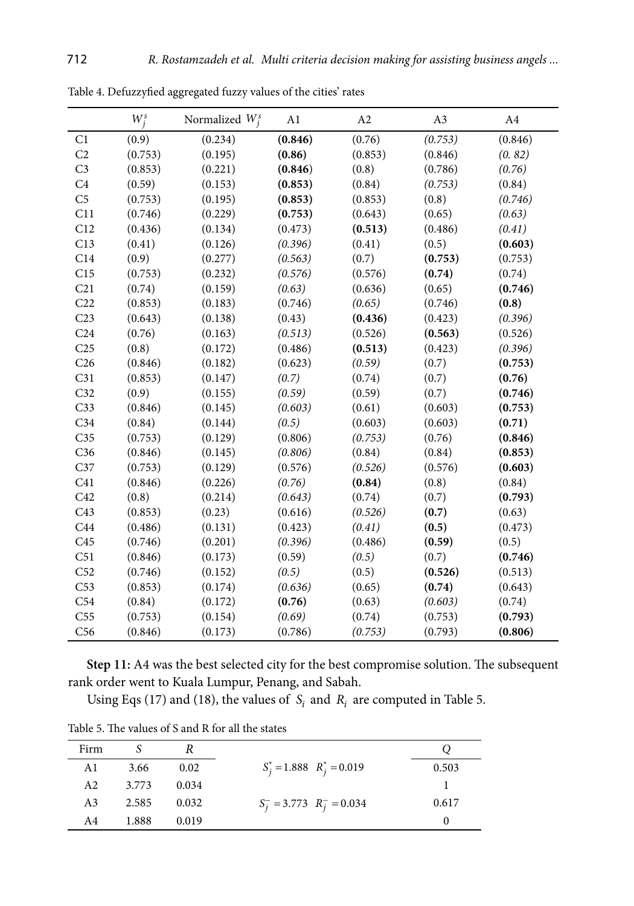|                 | $W_j^s$ | Normalized $W_i^s$ | A1      | A2      | A3      | A4      |
|-----------------|---------|--------------------|---------|---------|---------|---------|
| C1              | (0.9)   | (0.234)            | (0.846) | (0.76)  | (0.753) | (0.846) |
| C <sub>2</sub>  | (0.753) | (0.195)            | (0.86)  | (0.853) | (0.846) | (0.82)  |
| C <sub>3</sub>  | (0.853) | (0.221)            | (0.846) | (0.8)   | (0.786) | (0.76)  |
| C <sub>4</sub>  | (0.59)  | (0.153)            | (0.853) | (0.84)  | (0.753) | (0.84)  |
| C <sub>5</sub>  | (0.753) | (0.195)            | (0.853) | (0.853) | (0.8)   | (0.746) |
| C11             | (0.746) | (0.229)            | (0.753) | (0.643) | (0.65)  | (0.63)  |
| C12             | (0.436) | (0.134)            | (0.473) | (0.513) | (0.486) | (0.41)  |
| C13             | (0.41)  | (0.126)            | (0.396) | (0.41)  | (0.5)   | (0.603) |
| C14             | (0.9)   | (0.277)            | (0.563) | (0.7)   | (0.753) | (0.753) |
| C15             | (0.753) | (0.232)            | (0.576) | (0.576) | (0.74)  | (0.74)  |
| C21             | (0.74)  | (0.159)            | (0.63)  | (0.636) | (0.65)  | (0.746) |
| C22             | (0.853) | (0.183)            | (0.746) | (0.65)  | (0.746) | (0.8)   |
| C <sub>23</sub> | (0.643) | (0.138)            | (0.43)  | (0.436) | (0.423) | (0.396) |
| C <sub>24</sub> | (0.76)  | (0.163)            | (0.513) | (0.526) | (0.563) | (0.526) |
| C <sub>25</sub> | (0.8)   | (0.172)            | (0.486) | (0.513) | (0.423) | (0.396) |
| C <sub>26</sub> | (0.846) | (0.182)            | (0.623) | (0.59)  | (0.7)   | (0.753) |
| C31             | (0.853) | (0.147)            | (0.7)   | (0.74)  | (0.7)   | (0.76)  |
| C32             | (0.9)   | (0.155)            | (0.59)  | (0.59)  | (0.7)   | (0.746) |
| C33             | (0.846) | (0.145)            | (0.603) | (0.61)  | (0.603) | (0.753) |
| C34             | (0.84)  | (0.144)            | (0.5)   | (0.603) | (0.603) | (0.71)  |
| C35             | (0.753) | (0.129)            | (0.806) | (0.753) | (0.76)  | (0.846) |
| C36             | (0.846) | (0.145)            | (0.806) | (0.84)  | (0.84)  | (0.853) |
| C37             | (0.753) | (0.129)            | (0.576) | (0.526) | (0.576) | (0.603) |
| C41             | (0.846) | (0.226)            | (0.76)  | (0.84)  | (0.8)   | (0.84)  |
| C42             | (0.8)   | (0.214)            | (0.643) | (0.74)  | (0.7)   | (0.793) |
| C43             | (0.853) | (0.23)             | (0.616) | (0.526) | (0.7)   | (0.63)  |
| C44             | (0.486) | (0.131)            | (0.423) | (0.41)  | (0.5)   | (0.473) |
| C45             | (0.746) | (0.201)            | (0.396) | (0.486) | (0.59)  | (0.5)   |
| C51             | (0.846) | (0.173)            | (0.59)  | (0.5)   | (0.7)   | (0.746) |
| C52             | (0.746) | (0.152)            | (0.5)   | (0.5)   | (0.526) | (0.513) |
| C53             | (0.853) | (0.174)            | (0.636) | (0.65)  | (0.74)  | (0.643) |
| C54             | (0.84)  | (0.172)            | (0.76)  | (0.63)  | (0.603) | (0.74)  |
| C55             | (0.753) | (0.154)            | (0.69)  | (0.74)  | (0.753) | (0.793) |
| C56             | (0.846) | (0.173)            | (0.786) | (0.753) | (0.793) | (0.806) |

Table 4. Defuzzyfied aggregated fuzzy values of the cities' rates

**Step 11:** A4 was the best selected city for the best compromise solution. The subsequent rank order went to Kuala Lumpur, Penang, and Sabah.

Using Eqs (17) and (18), the values of  $S_i$  and  $R_i$  are computed in Table 5.

Table 5. The values of S and R for all the states

| Firm           |       |       |                                 |       |
|----------------|-------|-------|---------------------------------|-------|
| A1             | 3.66  | 0.02  | $S_i^* = 1.888$ $R_i^* = 0.019$ | 0.503 |
| A <sub>2</sub> | 3.773 | 0.034 |                                 |       |
| A3             | 2.585 | 0.032 | $S_i^-$ = 3.773 $R_i^-$ = 0.034 | 0.617 |
| A4             | 1.888 | 0.019 |                                 | 0     |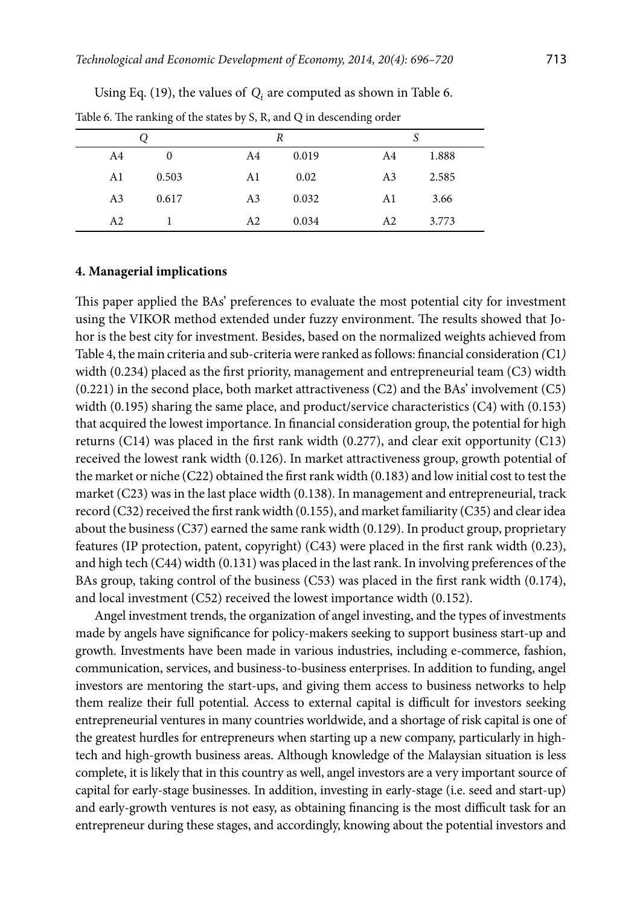|                | . .   |                |       | $\sim$         |       |
|----------------|-------|----------------|-------|----------------|-------|
|                |       | R              |       |                |       |
| A4             | 0     | A4             | 0.019 | A4             | 1.888 |
| A1             | 0.503 | A1             | 0.02  | A <sub>3</sub> | 2.585 |
| A <sub>3</sub> | 0.617 | A <sub>3</sub> | 0.032 | A1             | 3.66  |
| A2             |       | A2             | 0.034 | A2             | 3.773 |

Using Eq. (19), the values of *Qi* are computed as shown in Table 6.

Table 6. The ranking of the states by S, R, and Q in descending order

#### **4. Managerial implications**

This paper applied the BAs' preferences to evaluate the most potential city for investment using the VIKOR method extended under fuzzy environment. The results showed that Johor is the best city for investment. Besides, based on the normalized weights achieved from Table 4, the main criteria and sub-criteria were ranked as follows: financial consideration *(*C1*)* width (0.234) placed as the first priority, management and entrepreneurial team (C3) width (0.221) in the second place, both market attractiveness (C2) and the BAs' involvement (C5) width (0.195) sharing the same place, and product/service characteristics (C4) with (0.153) that acquired the lowest importance. In financial consideration group, the potential for high returns (C14) was placed in the first rank width (0.277), and clear exit opportunity (C13) received the lowest rank width (0.126). In market attractiveness group, growth potential of the market or niche (C22) obtained the first rank width (0.183) and low initial cost to test the market (C23) was in the last place width (0.138). In management and entrepreneurial, track record (C32) received the first rank width (0.155), and market familiarity (C35) and clear idea about the business (C37) earned the same rank width (0.129). In product group, proprietary features (IP protection, patent, copyright) (C43) were placed in the first rank width (0.23), and high tech (C44) width (0.131) was placed in the last rank. In involving preferences of the BAs group, taking control of the business (C53) was placed in the first rank width (0.174), and local investment (C52) received the lowest importance width (0.152).

Angel investment trends, the organization of angel investing, and the types of investments made by angels have significance for policy-makers seeking to support business start-up and growth. Investments have been made in various industries, including e-commerce, fashion, communication, services, and business-to-business enterprises. In addition to funding, angel investors are mentoring the start-ups, and giving them access to business networks to help them realize their full potential. Access to external capital is difficult for investors seeking entrepreneurial ventures in many countries worldwide, and a shortage of risk capital is one of the greatest hurdles for entrepreneurs when starting up a new company, particularly in hightech and high-growth business areas. Although knowledge of the Malaysian situation is less complete, it is likely that in this country as well, angel investors are a very important source of capital for early-stage businesses. In addition, investing in early-stage (i.e. seed and start-up) and early-growth ventures is not easy, as obtaining financing is the most difficult task for an entrepreneur during these stages, and accordingly, knowing about the potential investors and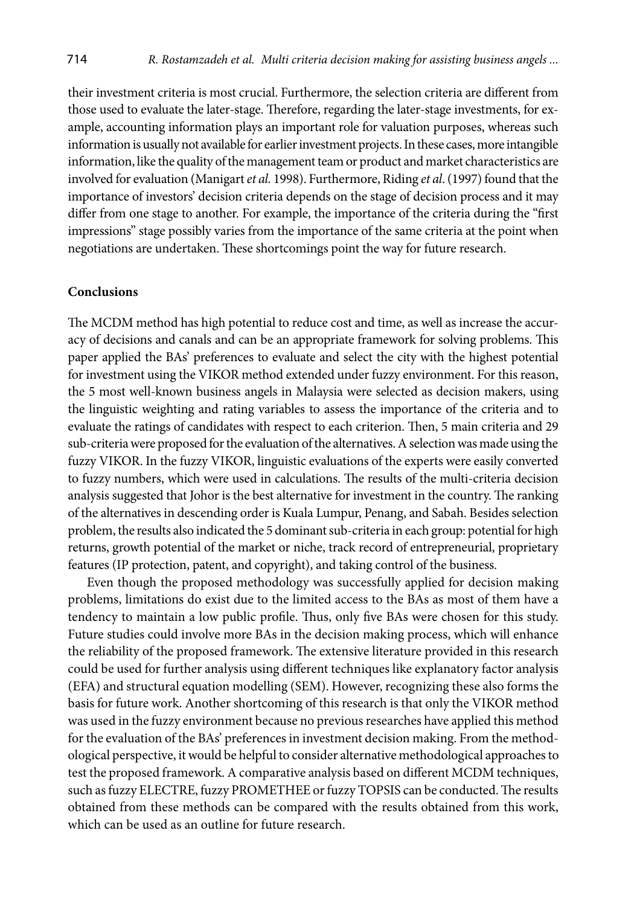their investment criteria is most crucial. Furthermore, the selection criteria are different from those used to evaluate the later-stage. Therefore, regarding the later-stage investments, for example, accounting information plays an important role for valuation purposes, whereas such information is usually not available for earlier investment projects. In these cases, more intangible information, like the quality of the management team or product and market characteristics are involved for evaluation (Manigart *et al.* 1998). Furthermore, Riding *et al*. (1997) found that the importance of investors' decision criteria depends on the stage of decision process and it may differ from one stage to another. For example, the importance of the criteria during the "first impressions" stage possibly varies from the importance of the same criteria at the point when negotiations are undertaken. These shortcomings point the way for future research.

## **Conclusions**

The MCDM method has high potential to reduce cost and time, as well as increase the accuracy of decisions and canals and can be an appropriate framework for solving problems. This paper applied the BAs' preferences to evaluate and select the city with the highest potential for investment using the VIKOR method extended under fuzzy environment. For this reason, the 5 most well-known business angels in Malaysia were selected as decision makers, using the linguistic weighting and rating variables to assess the importance of the criteria and to evaluate the ratings of candidates with respect to each criterion. Then, 5 main criteria and 29 sub-criteria were proposed for the evaluation of the alternatives. A selection was made using the fuzzy VIKOR. In the fuzzy VIKOR, linguistic evaluations of the experts were easily converted to fuzzy numbers, which were used in calculations. The results of the multi-criteria decision analysis suggested that Johor is the best alternative for investment in the country. The ranking of the alternatives in descending order is Kuala Lumpur, Penang, and Sabah. Besides selection problem, the results also indicated the 5 dominant sub-criteria in each group: potential for high returns, growth potential of the market or niche, track record of entrepreneurial, proprietary features (IP protection, patent, and copyright), and taking control of the business.

Even though the proposed methodology was successfully applied for decision making problems, limitations do exist due to the limited access to the BAs as most of them have a tendency to maintain a low public profile. Thus, only five BAs were chosen for this study. Future studies could involve more BAs in the decision making process, which will enhance the reliability of the proposed framework. The extensive literature provided in this research could be used for further analysis using different techniques like explanatory factor analysis (EFA) and structural equation modelling (SEM). However, recognizing these also forms the basis for future work. Another shortcoming of this research is that only the VIKOR method was used in the fuzzy environment because no previous researches have applied this method for the evaluation of the BAs' preferences in investment decision making. From the methodological perspective, it would be helpful to consider alternative methodological approaches to test the proposed framework. A comparative analysis based on different MCDM techniques, such as fuzzy ELECTRE, fuzzy PROMETHEE or fuzzy TOPSIS can be conducted. The results obtained from these methods can be compared with the results obtained from this work, which can be used as an outline for future research.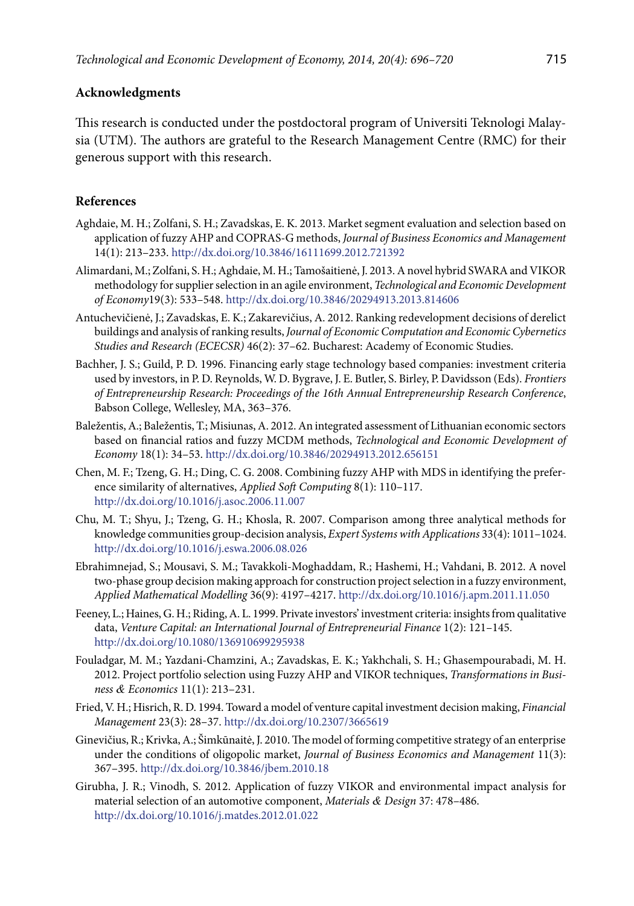# **Acknowledgments**

This research is conducted under the postdoctoral program of Universiti Teknologi Malaysia (UTM). The authors are grateful to the Research Management Centre (RMC) for their generous support with this research.

# **References**

- Aghdaie, M. H.; Zolfani, S. H.; Zavadskas, E. K. 2013. Market segment evaluation and selection based on application of fuzzy AHP and COPRAS-G methods, *Journal of Business Economics and Management* 14(1): 213–233. <http://dx.doi.org/10.3846/16111699.2012.721392>
- Alimardani, M.; Zolfani, S. H.; Aghdaie, M. H.; Tamošaitienė, J. 2013. A novel hybrid SWARA and VIKOR methodology for supplier selection in an agile environment, *Technological and Economic Development of Economy*19(3): 533–548. <http://dx.doi.org/10.3846/20294913.2013.814606>
- Antuchevičienė, J.; Zavadskas, E. K.; Zakarevičius, A. 2012. Ranking redevelopment decisions of derelict buildings and analysis of ranking results, *Journal of Economic Computation and Economic Cybernetics Studies and Research (ECECSR)* 46(2): 37–62. Bucharest: Academy of Economic Studies.
- Bachher, J. S.; Guild, P. D. 1996. Financing early stage technology based companies: investment criteria used by investors, in P. D. Reynolds, W. D. Bygrave, J. E. Butler, S. Birley, P. Davidsson (Eds). *Frontiers of Entrepreneurship Research: Proceedings of the 16th Annual Entrepreneurship Research Conference*, Babson College, Wellesley, MA, 363–376.
- Baležentis, A.; Baležentis, T.; Misiunas, A. 2012. An integrated assessment of Lithuanian economic sectors based on financial ratios and fuzzy MCDM methods, *Technological and Economic Development of Economy* 18(1): 34–53.<http://dx.doi.org/10.3846/20294913.2012.656151>
- Chen, M. F.; Tzeng, G. H.; Ding, C. G. 2008. Combining fuzzy AHP with MDS in identifying the preference similarity of alternatives, *Applied Soft Computing* 8(1): 110–117. <http://dx.doi.org/10.1016/j.asoc.2006.11.007>
- Chu, M. T.; Shyu, J.; Tzeng, G. H.; Khosla, R. 2007. Comparison among three analytical methods for knowledge communities group-decision analysis, *Expert Systems with Applications* 33(4): 1011–1024. <http://dx.doi.org/10.1016/j.eswa.2006.08.026>
- Ebrahimnejad, S.; Mousavi, S. M.; Tavakkoli-Moghaddam, R.; Hashemi, H.; Vahdani, B. 2012. A novel two-phase group decision making approach for construction project selection in a fuzzy environment, *Applied Mathematical Modelling* 36(9): 4197–4217.<http://dx.doi.org/10.1016/j.apm.2011.11.050>
- Feeney, L.; Haines, G. H.; Riding, A. L. 1999. Private investors' investment criteria: insights from qualitative data, *Venture Capital: an International Journal of Entrepreneurial Finance* 1(2): 121–145. <http://dx.doi.org/10.1080/136910699295938>
- Fouladgar, M. M.; Yazdani-Chamzini, A.; Zavadskas, E. K.; Yakhchali, S. H.; Ghasempourabadi, M. H. 2012. Project portfolio selection using Fuzzy AHP and VIKOR techniques, *Transformations in Business & Economics* 11(1): 213–231.
- Fried, V. H.; Hisrich, R. D. 1994. Toward a model of venture capital investment decision making, *Financial Management* 23(3): 28–37.<http://dx.doi.org/10.2307/3665619>
- Ginevičius, R.; Krivka, A.; Šimkūnaitė, J. 2010. The model of forming competitive strategy of an enterprise under the conditions of oligopolic market, *Journal of Business Economics and Management* 11(3): 367–395. <http://dx.doi.org/10.3846/jbem.2010.18>
- Girubha, J. R.; Vinodh, S. 2012. Application of fuzzy VIKOR and environmental impact analysis for material selection of an automotive component, *Materials & Design* 37: 478–486. <http://dx.doi.org/10.1016/j.matdes.2012.01.022>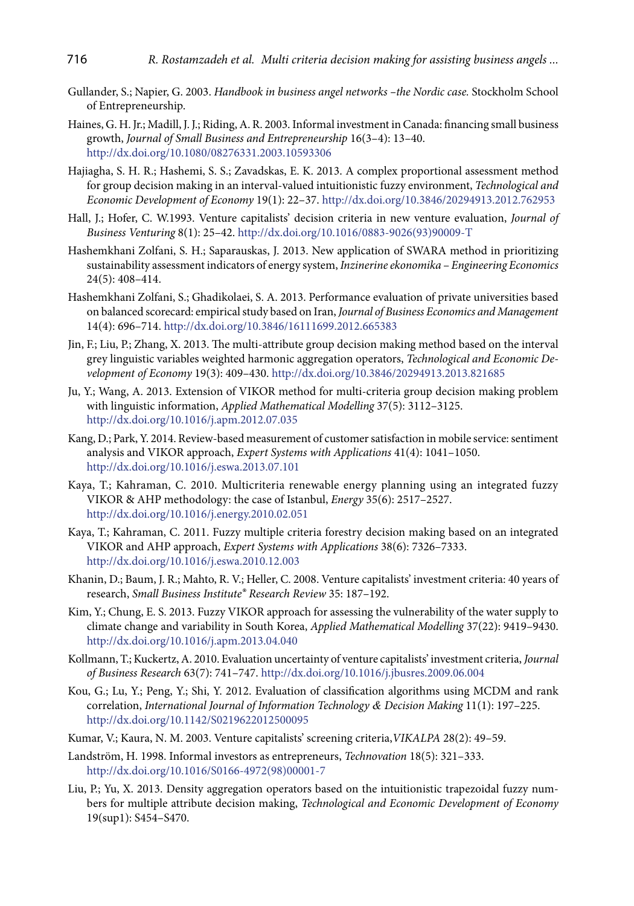- Gullander, S.; Napier, G. 2003. *Handbook in business angel networks –the Nordic case.* Stockholm School of Entrepreneurship.
- Haines, G. H. Jr.; Madill, J. J.; Riding, A. R. 2003. Informal investment in Canada: financing small business growth, *Journal of Small Business and Entrepreneurship* 16(3–4): 13–40. <http://dx.doi.org/10.1080/08276331.2003.10593306>
- Hajiagha, S. H. R.; Hashemi, S. S.; Zavadskas, E. K. 2013. A complex proportional assessment method for group decision making in an interval-valued intuitionistic fuzzy environment, *Technological and Economic Development of Economy* 19(1): 22–37. <http://dx.doi.org/10.3846/20294913.2012.762953>
- [Hall](http://www.sciencedirect.com/science/article/pii/088390269390009T?np=y), J.; [Hofer](http://www.sciencedirect.com/science/article/pii/088390269390009T?np=y), C. W.1993. Venture capitalists' decision criteria in new venture evaluation, *[Journal of](http://www.sciencedirect.com/science/journal/08839026)  [Business Venturing](http://www.sciencedirect.com/science/journal/08839026)* [8\(1](http://www.sciencedirect.com/science/journal/08839026/8/1)): 25–42. [http://dx.doi.org/10.1016/0883-9026\(93\)90009-T](http://dx.doi.org/10.1016/0883-9026(93)90009-T)
- Hashemkhani Zolfani, S. H.; Saparauskas, J. 2013. New application of SWARA method in prioritizing sustainability assessment indicators of energy system, *Inzinerine ekonomika* – *Engineering Economics*  24(5): 408–414.
- Hashemkhani Zolfani, S.; Ghadikolaei, S. A. 2013. Performance evaluation of private universities based on balanced scorecard: empirical study based on Iran, *Journal of Business Economics and Management* 14(4): 696–714. <http://dx.doi.org/10.3846/16111699.2012.665383>
- Jin, F.; Liu, P.; Zhang, X. 2013. The multi-attribute group decision making method based on the interval grey linguistic variables weighted harmonic aggregation operators, *Technological and Economic Development of Economy* 19(3): 409–430. <http://dx.doi.org/10.3846/20294913.2013.821685>
- Ju, Y.; Wang, A. 2013. Extension of VIKOR method for multi-criteria group decision making problem with linguistic information, *Applied Mathematical Modelling* 37(5): 3112–3125. <http://dx.doi.org/10.1016/j.apm.2012.07.035>
- Kang, D.; Park, Y. 2014. Review-based measurement of customer satisfaction in mobile service: sentiment analysis and VIKOR approach, *Expert Systems with Applications* 41(4): 1041–1050. <http://dx.doi.org/10.1016/j.eswa.2013.07.101>
- Kaya, T.; Kahraman, C. 2010. Multicriteria renewable energy planning using an integrated fuzzy VIKOR & AHP methodology: the case of Istanbul, *Energy* 35(6): 2517–2527. <http://dx.doi.org/10.1016/j.energy.2010.02.051>
- Kaya, T.; Kahraman, C. 2011. Fuzzy multiple criteria forestry decision making based on an integrated VIKOR and AHP approach, *Expert Systems with Applications* 38(6): 7326–7333. <http://dx.doi.org/10.1016/j.eswa.2010.12.003>
- Khanin, D.; Baum, J. R.; Mahto, R. V.; Heller, C. 2008. Venture capitalists' investment criteria: 40 years of research, *Small Business Institute® Research Review* 35: 187–192.
- Kim, Y.; Chung, E. S. 2013. Fuzzy VIKOR approach for assessing the vulnerability of the water supply to climate change and variability in South Korea, *Applied Mathematical Modelling* 37(22): 9419–9430. <http://dx.doi.org/10.1016/j.apm.2013.04.040>
- Kollmann, T.; Kuckertz, A. 2010. Evaluation uncertainty of venture capitalists' investment criteria, *Journal of Business Research* 63(7): 741–747.<http://dx.doi.org/10.1016/j.jbusres.2009.06.004>
- Kou, G.; Lu, Y.; Peng, Y.; Shi, Y. 2012. Evaluation of classification algorithms using MCDM and rank correlation, *International Journal of Information Technology & Decision Making* 11(1): 197–225. <http://dx.doi.org/10.1142/S0219622012500095>
- Kumar, V.; Kaura, N. M. 2003. Venture capitalists' screening criteria,*VIKALPA* 28(2): 49–59.
- Landström, H. 1998. Informal investors as entrepreneurs, *Technovation* 18(5): 321–333. [http://dx.doi.org/10.1016/S0166-4972\(98\)00001-7](http://dx.doi.org/10.1016/S0166-4972(98)00001-7)
- Liu, P.; Yu, X. 2013. Density aggregation operators based on the intuitionistic trapezoidal fuzzy numbers for multiple attribute decision making, *Technological and Economic Development of Economy* 19(sup1): S454–S470.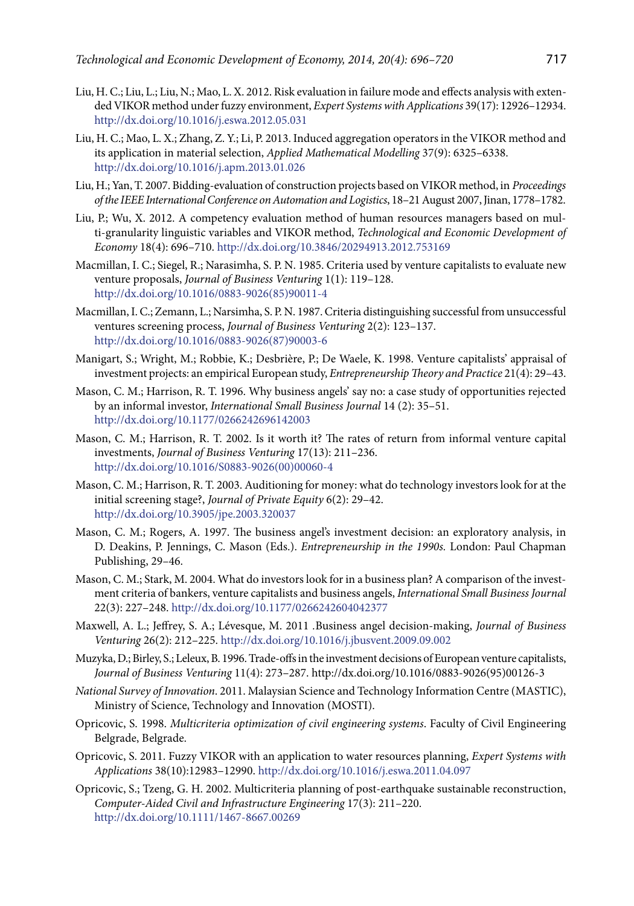- Liu, H. C.; Liu, L.; Liu, N.; Mao, L. X. 2012. Risk evaluation in failure mode and effects analysis with extended VIKOR method under fuzzy environment, *Expert Systems with Applications* 39(17): 12926–12934. <http://dx.doi.org/10.1016/j.eswa.2012.05.031>
- Liu, H. C.; Mao, L. X.; Zhang, Z. Y.; Li, P. 2013. Induced aggregation operators in the VIKOR method and its application in material selection, *Applied Mathematical Modelling* 37(9): 6325–6338. <http://dx.doi.org/10.1016/j.apm.2013.01.026>
- Liu, H.; Yan, T. 2007. Bidding-evaluation of construction projects based on VIKOR method, in *Proceedings of the IEEE International Conference on Automation and Logistics*, 18–21 August 2007, Jinan, 1778–1782.
- Liu, P.; Wu, X. 2012. A competency evaluation method of human resources managers based on multi-granularity linguistic variables and VIKOR method, *Technological and Economic Development of Economy* 18(4): 696–710.<http://dx.doi.org/10.3846/20294913.2012.753169>
- [Macmillan,](http://www.sciencedirect.com/science/article/pii/0883902685900114?np=y) I. C.; [Siegel,](http://www.sciencedirect.com/science/article/pii/0883902685900114?np=y) R.; [Narasimha,](http://www.sciencedirect.com/science/article/pii/0883902685900114?np=y) S. P. N. 1985. Criteria used by venture capitalists to evaluate new venture proposals, *[Journal of Business Venturing](http://www.sciencedirect.com/science/journal/08839026)* [1\(1\)](http://www.sciencedirect.com/science/journal/08839026/1/1): 119–128. [http://dx.doi.org/10.1016/0883-9026\(85\)90011-4](http://dx.doi.org/10.1016/0883-9026(85)90011-4)
- Macmillan, I. C.; Zemann, L.; Narsimha, S. P. N. 1987. Criteria distinguishing successful from unsuccessful ventures screening process, *Journal of Business Venturing* 2(2): 123–137. [http://dx.doi.org/10.1016/0883-9026\(87\)90003-6](http://dx.doi.org/10.1016/0883-9026(87)90003-6)
- Manigart, S.; Wright, M.; Robbie, K.; Desbrière, P.; De Waele, K. 1998. Venture capitalists' appraisal of investment projects: an empirical European study, *Entrepreneurship Theory and Practice* 21(4): 29–43.
- Mason, C. M.; Harrison, R. T. 1996. Why business angels' say no: a case study of opportunities rejected by an informal investor, *International Small Business Journal* 14 (2): 35–51. <http://dx.doi.org/10.1177/0266242696142003>
- Mason, C. M.; Harrison, R. T. 2002. Is it worth it? The rates of return from informal venture capital investments, *Journal of Business Venturing* 17(13): 211–236. [http://dx.doi.org/10.1016/S0883-9026\(00\)00060-4](http://dx.doi.org/10.1016/S0883-9026(00)00060-4)
- Mason, C. M.; Harrison, R. T. 2003. Auditioning for money: what do technology investors look for at the initial screening stage?, *Journal of Private Equity* 6(2): 29–42. <http://dx.doi.org/10.3905/jpe.2003.320037>
- Mason, C. M.; Rogers, A. 1997. The business angel's investment decision: an exploratory analysis, in D. Deakins, P. Jennings, C. Mason (Eds.). *Entrepreneurship in the 1990s.* London: Paul Chapman Publishing, 29–46.
- Mason, C. M.; Stark, M. 2004. What do investors look for in a business plan? A comparison of the investment criteria of bankers, venture capitalists and business angels, *International Small Business Journal*  22(3): 227–248. <http://dx.doi.org/10.1177/0266242604042377>
- Maxwell, A. L.; Jeffrey, S. A.; Lévesque, M. 2011 *.*Business angel decision-making, *Journal of Business Venturing* 26(2): 212–225. <http://dx.doi.org/10.1016/j.jbusvent.2009.09.002>
- Muzyka, D.; Birley, S.; Leleux, B. 1996. Trade-offs in the investment decisions of European venture capitalists, *Journal of Business Venturing* 11(4): 273–287. [http://dx.doi.org/10.1016/0883-9026\(95\)00126-3](http://dx.doi.org/10.1016/0883-9026(95)00126-3)
- *National Survey of Innovation*. 2011. Malaysian Science and Technology Information Centre (MASTIC), Ministry of Science, Technology and Innovation (MOSTI).
- Opricovic, S. 1998. *Multicriteria optimization of civil engineering systems*. Faculty of Civil Engineering Belgrade, Belgrade.
- Opricovic, S. 2011. Fuzzy VIKOR with an application to water resources planning, *Expert Systems with Applications* 38(10):12983–12990. <http://dx.doi.org/10.1016/j.eswa.2011.04.097>
- Opricovic, S.; Tzeng, G. H. 2002. Multicriteria planning of post-earthquake sustainable reconstruction, *Computer-Aided Civil and Infrastructure Engineering* 17(3): 211–220. <http://dx.doi.org/10.1111/1467-8667.00269>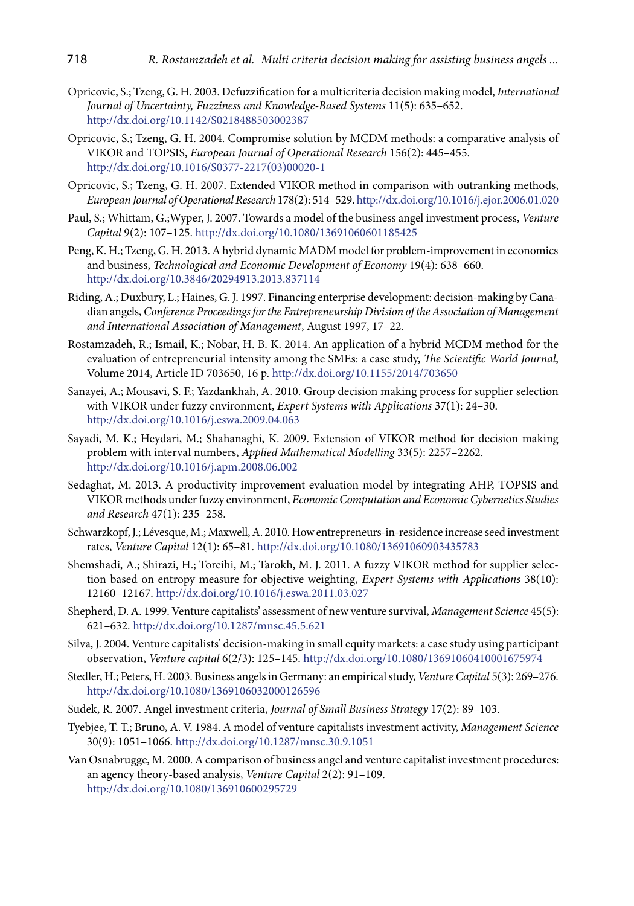- Opricovic, S.; Tzeng, G. H. 2003. Defuzzification for a multicriteria decision making model, *International Journal of Uncertainty, Fuzziness and Knowledge-Based Systems* 11(5): 635–652. <http://dx.doi.org/10.1142/S0218488503002387>
- Opricovic, S.; Tzeng, G. H. 2004. Compromise solution by MCDM methods: a comparative analysis of VIKOR and TOPSIS, *European Journal of Operational Research* 156(2): 445–455. [http://dx.doi.org/10.1016/S0377-2217\(03\)00020-1](http://dx.doi.org/10.1016/S0377-2217(03)00020-1)
- Opricovic, S.; Tzeng, G. H. 2007. Extended VIKOR method in comparison with outranking methods, *European Journal of Operational Research* 178(2): 514–529.<http://dx.doi.org/10.1016/j.ejor.2006.01.020>
- Paul, S.; Whittam, G.;Wyper, J. 2007. Towards a model of the business angel investment process, *Venture Capital* 9(2): 107–125. <http://dx.doi.org/10.1080/13691060601185425>
- Peng, K. H.; Tzeng, G. H. 2013. A hybrid dynamic MADM model for problem-improvement in economics and business, *Technological and Economic Development of Economy* 19(4): 638–660. <http://dx.doi.org/10.3846/20294913.2013.837114>
- Riding, A.; Duxbury, L.; Haines, G. J. 1997. Financing enterprise development: decision-making by Canadian angels, *Conference Proceedings for the Entrepreneurship Division of the Association of Management and International Association of Management*, August 1997, 17–22.
- Rostamzadeh, R.; Ismail, K.; Nobar, H. B. K. 2014. An application of a hybrid MCDM method for the evaluation of entrepreneurial intensity among the SMEs: a case study, *The Scientific World Journal*, Volume 2014, Article ID 703650, 16 p.<http://dx.doi.org/10.1155/2014/703650>
- Sanayei, A.; Mousavi, S. F.; Yazdankhah, A. 2010. Group decision making process for supplier selection with VIKOR under fuzzy environment, *Expert Systems with Applications* 37(1): 24–30. <http://dx.doi.org/10.1016/j.eswa.2009.04.063>
- Sayadi, M. K.; Heydari, M.; Shahanaghi, K. 2009. Extension of VIKOR method for decision making problem with interval numbers, *Applied Mathematical Modelling* 33(5): 2257–2262. <http://dx.doi.org/10.1016/j.apm.2008.06.002>
- Sedaghat, M. 2013. A productivity improvement evaluation model by integrating AHP, TOPSIS and VIKOR methods under fuzzy environment, *Economic Computation and Economic Cybernetics Studies and Research* 47(1): 235–258.
- Schwarzkopf, J.; Lévesque, M.; Maxwell, A. 2010. How entrepreneurs-in-residence increase seed investment rates, *Venture Capital* 12(1): 65–81.<http://dx.doi.org/10.1080/13691060903435783>
- Shemshadi, A.; Shirazi, H.; Toreihi, M.; Tarokh, M. J. 2011. A fuzzy VIKOR method for supplier selection based on entropy measure for objective weighting, *Expert Systems with Applications* 38(10): 12160–12167.<http://dx.doi.org/10.1016/j.eswa.2011.03.027>
- Shepherd, D. A. 1999. Venture capitalists' assessment of new venture survival, *Management Science* 45(5): 621–632. <http://dx.doi.org/10.1287/mnsc.45.5.621>
- Silva, J. 2004. Venture capitalists' decision-making in small equity markets: a case study using participant observation, *Venture capital* 6(2/3): 125–145. <http://dx.doi.org/10.1080/13691060410001675974>
- Stedler, H.; Peters, H. 2003. Business angels in Germany: an empirical study, *Venture Capital* 5(3): 269–276. <http://dx.doi.org/10.1080/1369106032000126596>
- Sudek, R. 2007. Angel investment criteria, *Journal of Small Business Strategy* 17(2): 89–103.
- Tyebjee, T. T.; Bruno, A. V. 1984. A model of venture capitalists investment activity, *Management Science* 30(9): 1051–1066. <http://dx.doi.org/10.1287/mnsc.30.9.1051>
- Van Osnabrugge, M. 2000. A comparison of business angel and venture capitalist investment procedures: an agency theory-based analysis, *Venture Capital* 2(2): 91–109. <http://dx.doi.org/10.1080/136910600295729>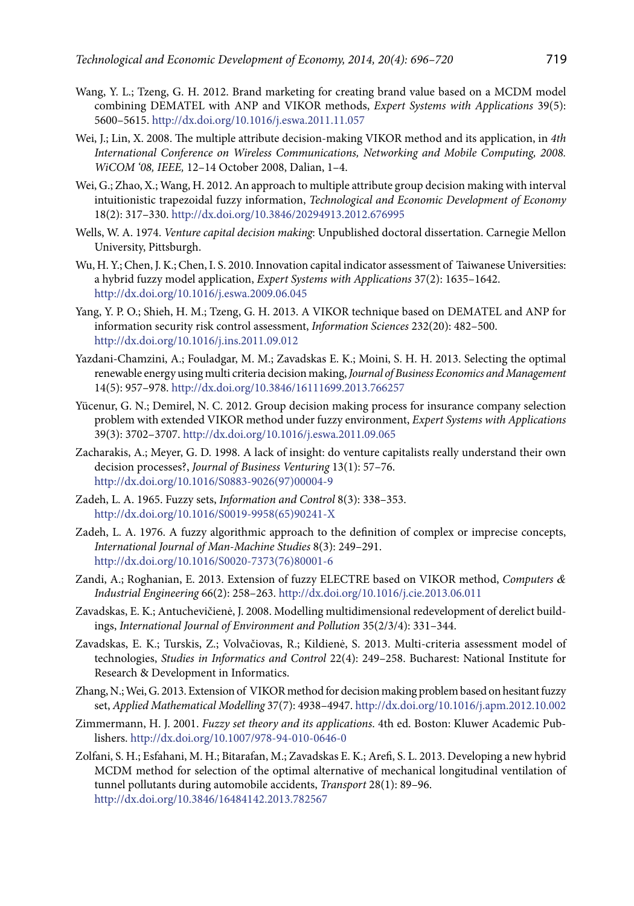- Wang, Y. L.; Tzeng, G. H. 2012. Brand marketing for creating brand value based on a MCDM model combining DEMATEL with ANP and VIKOR methods, *Expert Systems with Applications* 39(5): 5600–5615.<http://dx.doi.org/10.1016/j.eswa.2011.11.057>
- Wei, J.; Lin, X. 2008. The multiple attribute decision-making VIKOR method and its application, in *4th International Conference on Wireless Communications, Networking and Mobile Computing, 2008. WiCOM '08, IEEE,* 12–14 October 2008, Dalian, 1–4.
- Wei, G.; Zhao, X.; Wang, H. 2012. An approach to multiple attribute group decision making with interval intuitionistic trapezoidal fuzzy information, *Technological and Economic Development of Economy* 18(2): 317–330. <http://dx.doi.org/10.3846/20294913.2012.676995>
- Wells, W. A. 1974. *Venture capital decision making*: Unpublished doctoral dissertation. Carnegie Mellon University, Pittsburgh.
- Wu, H. Y.; Chen, J. K.; Chen, I. S. 2010. Innovation capital indicator assessment of Taiwanese Universities: a hybrid fuzzy model application, *Expert Systems with Applications* 37(2): 1635–1642. <http://dx.doi.org/10.1016/j.eswa.2009.06.045>
- Yang, Y. P. O.; Shieh, H. M.; Tzeng, G. H. 2013. A VIKOR technique based on DEMATEL and ANP for information security risk control assessment, *Information Sciences* 232(20): 482–500. <http://dx.doi.org/10.1016/j.ins.2011.09.012>
- Yazdani-Chamzini, A.; Fouladgar, M. M.; Zavadskas E. K.; Moini, S. H. H. 2013. Selecting the optimal renewable energy using multi criteria decision making, *Journal of Business Economics and Management* 14(5): 957–978. <http://dx.doi.org/10.3846/16111699.2013.766257>
- Yücenur, G. N.; Demirel, N. C. 2012. Group decision making process for insurance company selection problem with extended VIKOR method under fuzzy environment, *Expert Systems with Applications* 39(3): 3702–3707.<http://dx.doi.org/10.1016/j.eswa.2011.09.065>
- Zacharakis, A.; Meyer, G. D. 1998. A lack of insight: do venture capitalists really understand their own decision processes?, *Journal of Business Venturing* 13(1): 57–76. [http://dx.doi.org/10.1016/S0883-9026\(97\)00004-9](http://dx.doi.org/10.1016/S0883-9026(97)00004-9)
- Zadeh, L. A. 1965. Fuzzy sets, *Information and Control* 8(3): 338–353. [http://dx.doi.org/10.1016/S0019-9958\(65\)90241-X](http://dx.doi.org/10.1016/S0019-9958(65)90241-X)
- Zadeh, L. A. 1976. A fuzzy algorithmic approach to the definition of complex or imprecise concepts, *International Journal of Man-Machine Studies* 8(3): 249–291. [http://dx.doi.org/10.1016/S0020-7373\(76\)80001-6](http://dx.doi.org/10.1016/S0020-7373(76)80001-6)
- Zandi, A.; Roghanian, E. 2013. Extension of fuzzy ELECTRE based on VIKOR method, *Computers & Industrial Engineering* 66(2): 258–263.<http://dx.doi.org/10.1016/j.cie.2013.06.011>
- Zavadskas, E. K.; Antuchevičienė, J. 2008. Modelling multidimensional redevelopment of derelict buildings, *International Journal of Environment and Pollution* 35(2/3/4): 331–344.
- Zavadskas, E. K.; Turskis, Z.; Volvačiovas, R.; Kildienė, S. 2013. Multi-criteria assessment model of technologies, *Studies in Informatics and Control* 22(4): 249–258. Bucharest: National Institute for Research & Development in Informatics.
- Zhang, N.; Wei, G. 2013. Extension of VIKOR method for decision making problem based on hesitant fuzzy set, *Applied Mathematical Modelling* 37(7): 4938–4947.<http://dx.doi.org/10.1016/j.apm.2012.10.002>
- Zimmermann, H. J. 2001. *Fuzzy set theory and its applications*. 4th ed. Boston: Kluwer Academic Publishers.<http://dx.doi.org/10.1007/978-94-010-0646-0>
- Zolfani, S. H.; Esfahani, M. H.; Bitarafan, M.; Zavadskas E. K.; Arefi, S. L. 2013. Developing a new hybrid MCDM method for selection of the optimal alternative of mechanical longitudinal ventilation of tunnel pollutants during automobile accidents, *Transport* 28(1): 89–96. <http://dx.doi.org/10.3846/16484142.2013.782567>